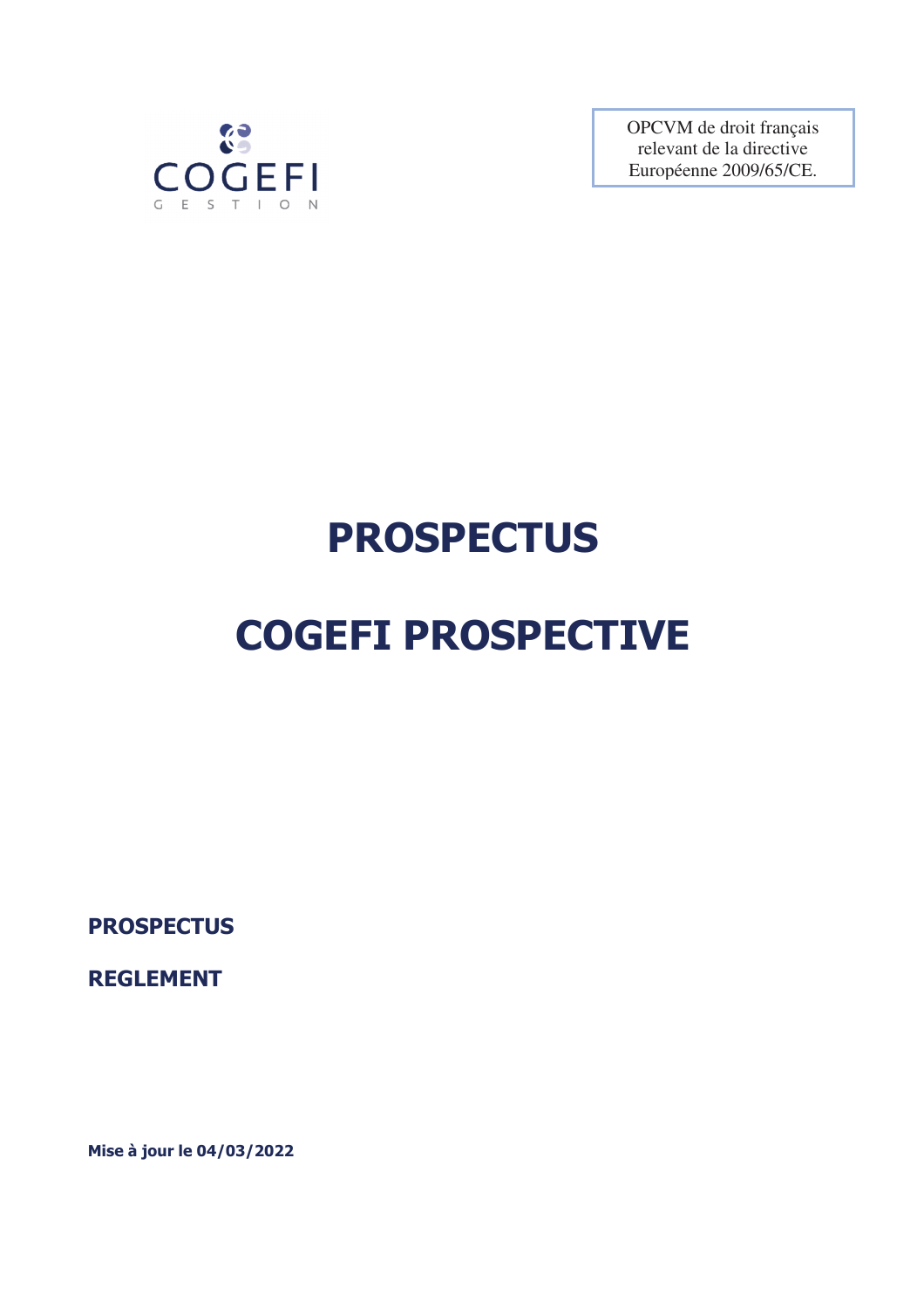

OPCVM de droit français relevant de la directive Européenne 2009/65/CE.

# **PROSPECTUS**

# **COGEFI PROSPECTIVE**

**PROSPECTUS** 

**REGLEMENT** 

**Mise à jour le 04/03/2022**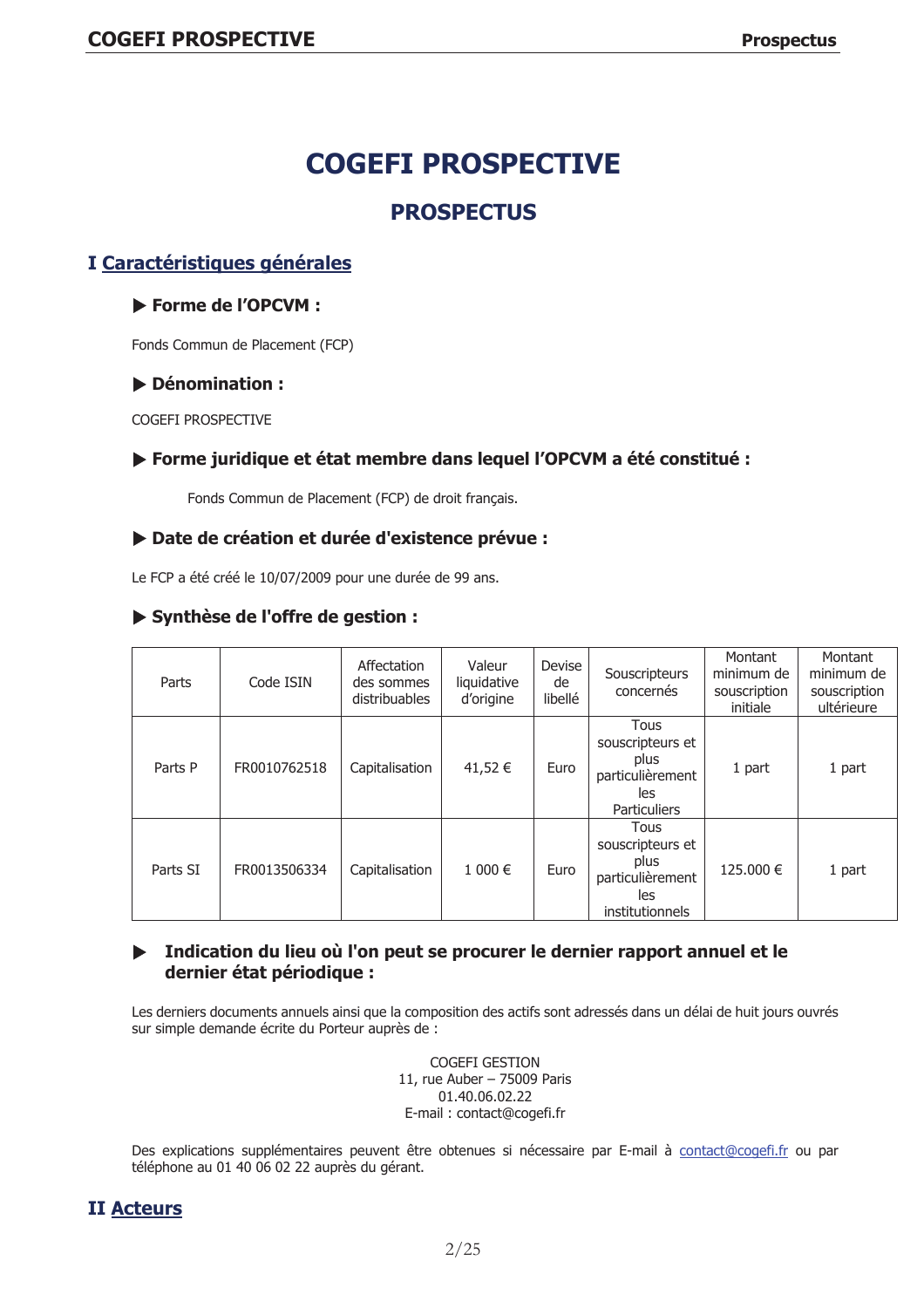# **PROSPECTUS**

# I Caractéristiques générales

# Forme de l'OPCVM :

Fonds Commun de Placement (FCP)

# Dénomination :

COGFFI PROSPECTIVE

# ▶ Forme juridique et état membre dans lequel l'OPCVM a été constitué :

Fonds Commun de Placement (FCP) de droit français.

# Date de création et durée d'existence prévue :

Le FCP a été créé le 10/07/2009 pour une durée de 99 ans.

# Synthèse de l'offre de gestion :

| Parts    | Code ISIN    | Affectation<br>des sommes<br>distribuables | Valeur<br>liquidative<br>d'origine | Devise<br>de<br>libellé | Souscripteurs<br>concernés                                                     | Montant<br>minimum de<br>souscription<br>initiale | Montant<br>minimum de<br>souscription<br>ultérieure |
|----------|--------------|--------------------------------------------|------------------------------------|-------------------------|--------------------------------------------------------------------------------|---------------------------------------------------|-----------------------------------------------------|
| Parts P  | FR0010762518 | Capitalisation                             | 41,52 €                            | Euro                    | Tous<br>souscripteurs et<br>plus<br>particulièrement<br>les<br>Particuliers    | 1 part                                            | 1 part                                              |
| Parts SI | FR0013506334 | Capitalisation                             | 1 000 €                            | Euro                    | Tous<br>souscripteurs et<br>plus<br>particulièrement<br>les<br>institutionnels | 125.000 €                                         | 1 part                                              |

# Indication du lieu où l'on peut se procurer le dernier rapport annuel et le dernier état périodique :

Les derniers documents annuels ainsi que la composition des actifs sont adressés dans un délai de huit jours ouvrés sur simple demande écrite du Porteur auprès de :

> COGEFI GESTION 11, rue Auber - 75009 Paris 01.40.06.02.22 E-mail: contact@cogefi.fr

Des explications supplémentaires peuvent être obtenues si nécessaire par E-mail à contact@cogefi.fr ou par téléphone au 01 40 06 02 22 auprès du gérant.

# **II Acteurs**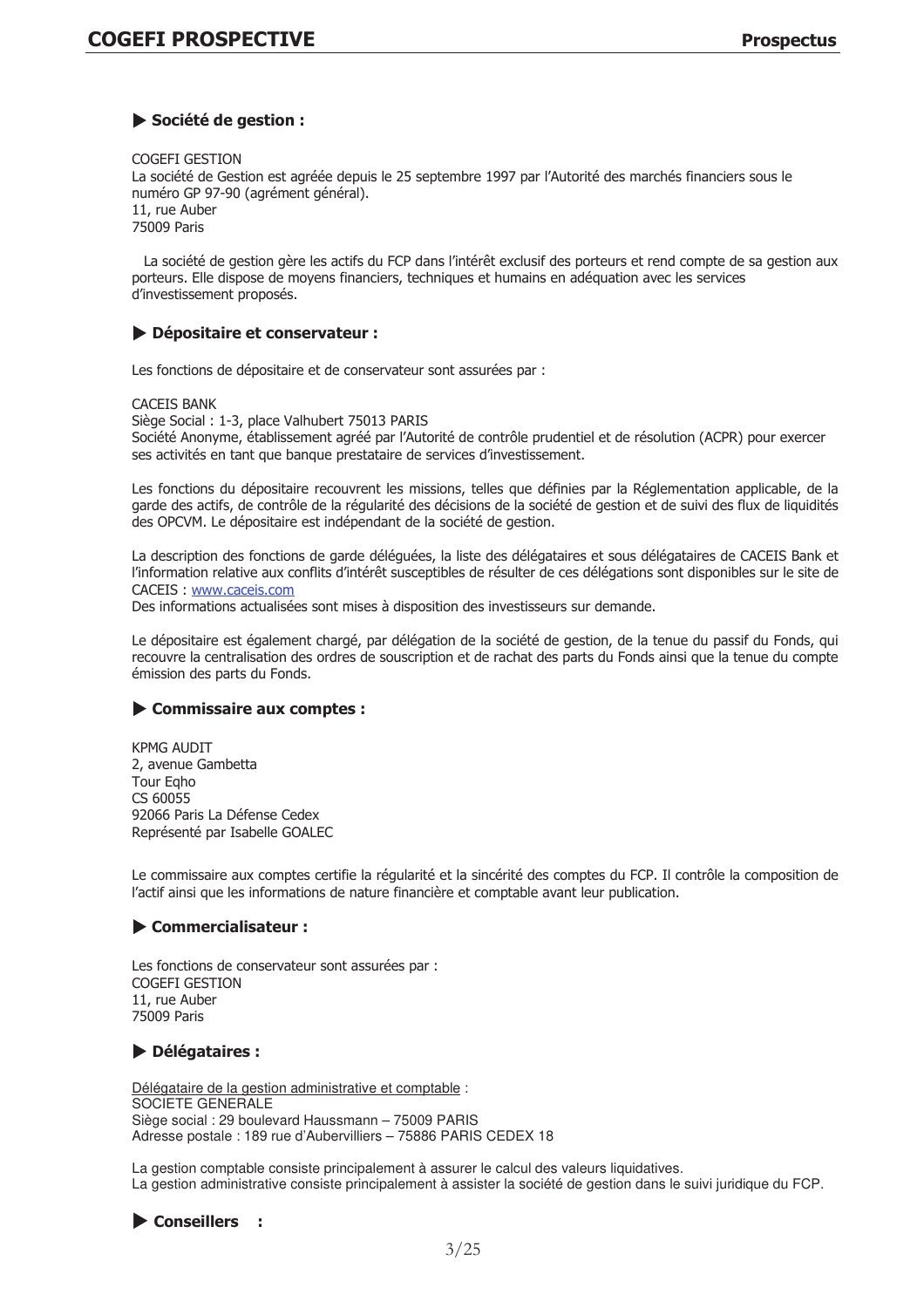# Société de gestion :

COGEFI GESTION

La société de Gestion est agréée depuis le 25 septembre 1997 par l'Autorité des marchés financiers sous le numéro GP 97-90 (agrément général). 11. rue Auber

75009 Paris

La société de gestion gère les actifs du FCP dans l'intérêt exclusif des porteurs et rend compte de sa gestion aux porteurs. Elle dispose de moyens financiers, techniques et humains en adéquation avec les services d'investissement proposés.

# Dépositaire et conservateur :

Les fonctions de dépositaire et de conservateur sont assurées par :

**CACETS BANK** 

Siège Social : 1-3, place Valhubert 75013 PARIS Société Anonyme, établissement agréé par l'Autorité de contrôle prudentiel et de résolution (ACPR) pour exercer ses activités en tant que banque prestataire de services d'investissement.

Les fonctions du dépositaire recouvrent les missions, telles que définies par la Réglementation applicable, de la garde des actifs, de contrôle de la régularité des décisions de la société de gestion et de suivi des flux de liquidités des OPCVM. Le dépositaire est indépendant de la société de gestion.

La description des fonctions de garde déléguées, la liste des délégataires et sous délégataires de CACEIS Bank et l'information relative aux conflits d'intérêt susceptibles de résulter de ces délégations sont disponibles sur le site de CACEIS: www.caceis.com

Des informations actualisées sont mises à disposition des investisseurs sur demande.

Le dépositaire est également chargé, par délégation de la société de gestion, de la tenue du passif du Fonds, qui recouvre la centralisation des ordres de souscription et de rachat des parts du Fonds ainsi que la tenue du compte émission des parts du Fonds.

# Commissaire aux comptes :

**KPMG AUDIT** 2, avenue Gambetta Tour Egho  $CS$  60055 92066 Paris La Défense Cedex Représenté par Isabelle GOALEC

Le commissaire aux comptes certifie la régularité et la sincérité des comptes du FCP. Il contrôle la composition de l'actif ainsi que les informations de nature financière et comptable avant leur publication.

# Commercialisateur :

Les fonctions de conservateur sont assurées par : COGFFI GESTION 11. rue Auber 75009 Paris

# Délégataires :

Délégataire de la gestion administrative et comptable : SOCIETE GENERALE Siège social : 29 boulevard Haussmann - 75009 PARIS Adresse postale: 189 rue d'Aubervilliers - 75886 PARIS CEDEX 18

La gestion comptable consiste principalement à assurer le calcul des valeurs liquidatives. La gestion administrative consiste principalement à assister la société de gestion dans le suivi juridique du FCP.

Conseillers :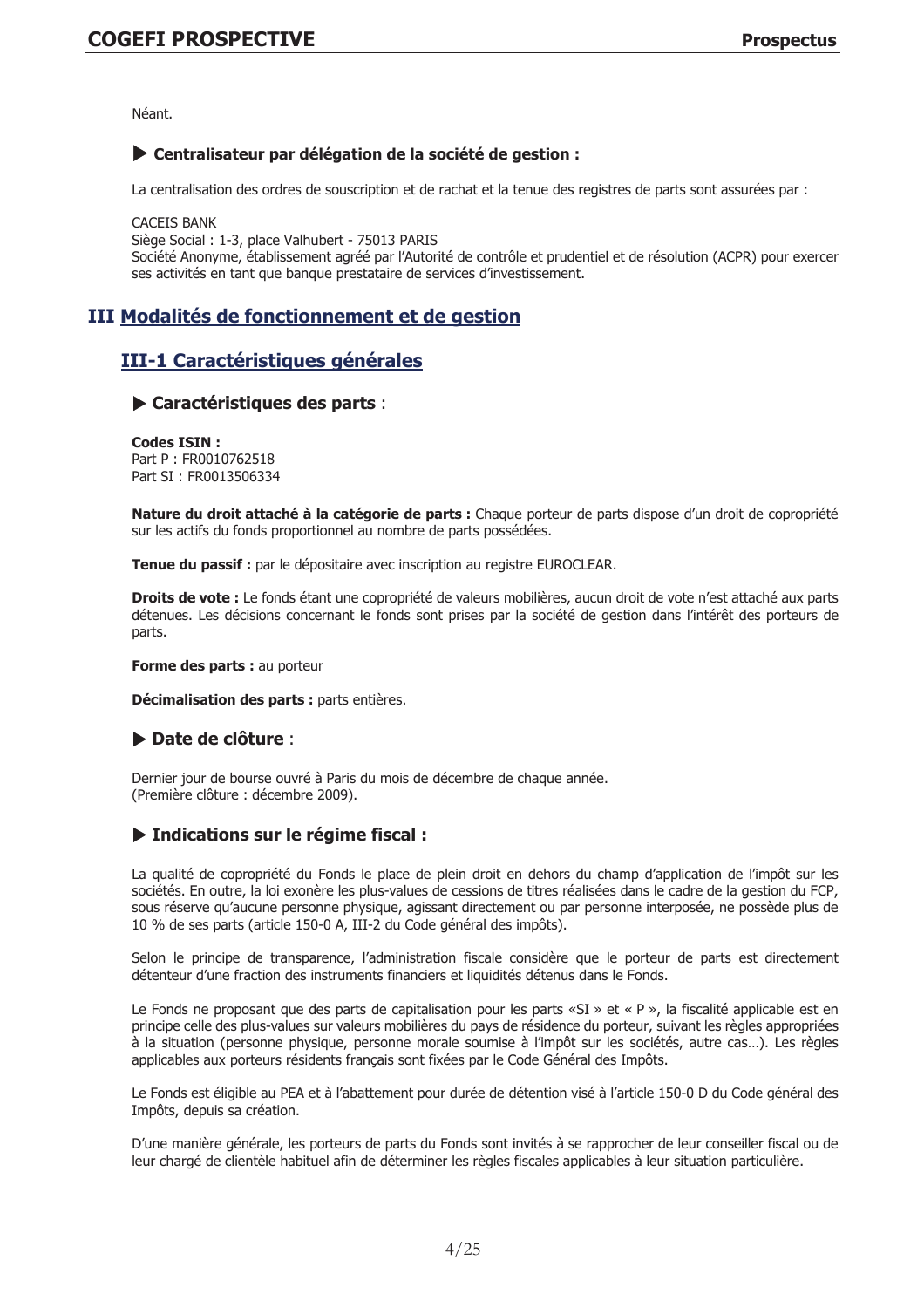Néant.

# Centralisateur par délégation de la société de gestion :

La centralisation des ordres de souscription et de rachat et la tenue des registres de parts sont assurées par:

**CACEIS BANK** Siège Social : 1-3, place Valhubert - 75013 PARIS Société Anonyme, établissement agréé par l'Autorité de contrôle et prudentiel et de résolution (ACPR) pour exercer ses activités en tant que banque prestataire de services d'investissement.

# III Modalités de fonctionnement et de gestion

# III-1 Caractéristiques générales

# Caractéristiques des parts :

Codes TSTN . Part P: FR0010762518 Part SI: FR0013506334

Nature du droit attaché à la catégorie de parts : Chaque porteur de parts dispose d'un droit de copropriété sur les actifs du fonds proportionnel au nombre de parts possédées.

Tenue du passif : par le dépositaire avec inscription au registre EUROCLEAR.

Droits de vote : Le fonds étant une copropriété de valeurs mobilières, aucun droit de vote n'est attaché aux parts détenues. Les décisions concernant le fonds sont prises par la société de gestion dans l'intérêt des porteurs de parts.

Forme des parts : au porteur

Décimalisation des parts : parts entières.

# $\blacktriangleright$  Date de clôture :

Dernier jour de bourse ouvré à Paris du mois de décembre de chaque année. (Première clôture : décembre 2009).

# ▶ Indications sur le régime fiscal :

La qualité de copropriété du Fonds le place de plein droit en dehors du champ d'application de l'impôt sur les sociétés. En outre, la loi exonère les plus-values de cessions de titres réalisées dans le cadre de la gestion du FCP, sous réserve qu'aucune personne physique, agissant directement ou par personne interposée, ne possède plus de 10 % de ses parts (article 150-0 A, III-2 du Code général des impôts).

Selon le principe de transparence, l'administration fiscale considère que le porteur de parts est directement détenteur d'une fraction des instruments financiers et liquidités détenus dans le Fonds.

Le Fonds ne proposant que des parts de capitalisation pour les parts «SI » et « P », la fiscalité applicable est en principe celle des plus-values sur valeurs mobilières du pays de résidence du porteur, suivant les règles appropriées à la situation (personne physique, personne morale soumise à l'impôt sur les sociétés, autre cas...). Les règles applicables aux porteurs résidents français sont fixées par le Code Général des Impôts.

Le Fonds est éligible au PEA et à l'abattement pour durée de détention visé à l'article 150-0 D du Code général des Impôts, depuis sa création.

D'une manière générale, les porteurs de parts du Fonds sont invités à se rapprocher de leur conseiller fiscal ou de leur chargé de clientèle habituel afin de déterminer les règles fiscales applicables à leur situation particulière.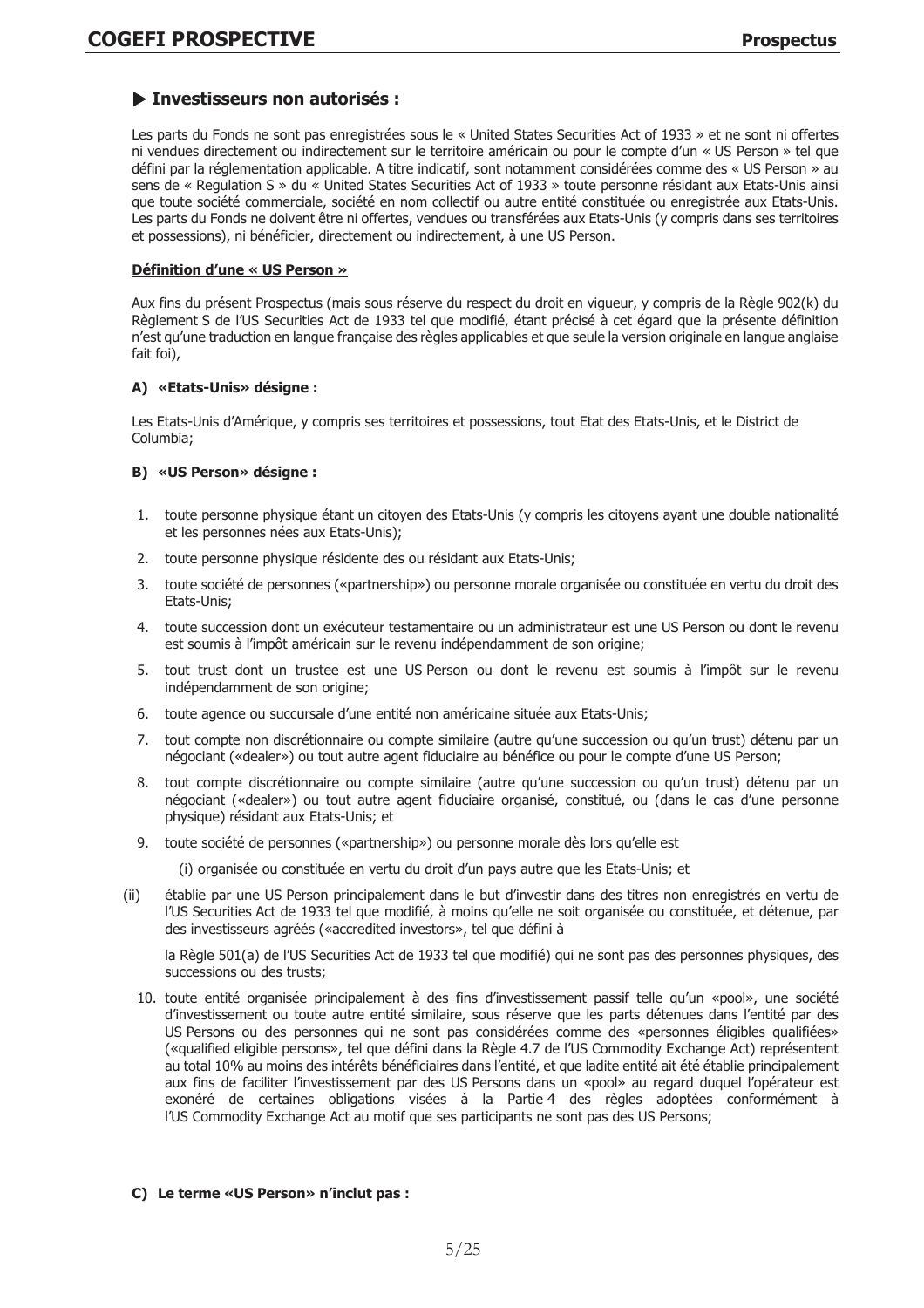# Investisseurs non autorisés :

Les parts du Fonds ne sont pas enregistrées sous le « United States Securities Act of 1933 » et ne sont ni offertes ni vendues directement ou indirectement sur le territoire américain ou pour le compte d'un « US Person » tel que défini par la réglementation applicable. A titre indicatif, sont notamment considérées comme des « US Person » au sens de « Regulation S » du « United States Securities Act of 1933 » toute personne résidant aux Etats-Unis ainsi que toute société commerciale, société en nom collectif ou autre entité constituée ou enregistrée aux Etats-Unis. Les parts du Fonds ne doivent être ni offertes, vendues ou transférées aux Etats-Unis (y compris dans ses territoires et possessions), ni bénéficier, directement ou indirectement, à une US Person.

# Définition d'une « US Person »

Aux fins du présent Prospectus (mais sous réserve du respect du droit en vigueur, y compris de la Règle 902(k) du Règlement S de l'US Securities Act de 1933 tel que modifié, étant précisé à cet égard que la présente définition n'est qu'une traduction en langue française des règles applicables et que seule la version originale en langue anglaise fait foi).

# A) «Etats-Unis» désigne :

Les Etats-Unis d'Amérique, y compris ses territoires et possessions, tout Etat des Etats-Unis, et le District de Columbia;

# B) «US Person» désigne :

- 1. toute personne physique étant un citoyen des Etats-Unis (y compris les citoyens ayant une double nationalité et les personnes nées aux Etats-Unis);
- 2. toute personne physique résidente des ou résidant aux Etats-Unis;
- 3. toute société de personnes («partnership») ou personne morale organisée ou constituée en vertu du droit des Etats-Unis;
- 4. toute succession dont un exécuteur testamentaire ou un administrateur est une US Person ou dont le revenu est soumis à l'impôt américain sur le revenu indépendamment de son origine;
- 5. tout trust dont un trustee est une US Person ou dont le revenu est soumis à l'impôt sur le revenu indépendamment de son origine;
- 6. toute agence ou succursale d'une entité non américaine située aux Etats-Unis;
- 7. tout compte non discrétionnaire ou compte similaire (autre qu'une succession ou qu'un trust) détenu par un négociant («dealer») ou tout autre agent fiduciaire au bénéfice ou pour le compte d'une US Person;
- 8. tout compte discrétionnaire ou compte similaire (autre qu'une succession ou qu'un trust) détenu par un négociant («dealer») ou tout autre agent fiduciaire organisé, constitué, ou (dans le cas d'une personne physique) résidant aux Etats-Unis; et
- 9. toute société de personnes («partnership») ou personne morale dès lors qu'elle est
	- (i) organisée ou constituée en vertu du droit d'un pays autre que les Etats-Unis; et
- $(ii)$ établie par une US Person principalement dans le but d'investir dans des titres non enregistrés en vertu de l'US Securities Act de 1933 tel que modifié, à moins qu'elle ne soit organisée ou constituée, et détenue, par des investisseurs agréés («accredited investors», tel que défini à

la Règle 501(a) de l'US Securities Act de 1933 tel que modifié) qui ne sont pas des personnes physiques, des successions ou des trusts;

10, toute entité organisée principalement à des fins d'investissement passif telle qu'un «pool», une société d'investissement ou toute autre entité similaire, sous réserve que les parts détenues dans l'entité par des US Persons ou des personnes qui ne sont pas considérées comme des «personnes éligibles qualifiées» («qualified eligible persons», tel que défini dans la Règle 4.7 de l'US Commodity Exchange Act) représentent au total 10% au moins des intérêts bénéficiaires dans l'entité, et que ladite entité ait été établie principalement aux fins de faciliter l'investissement par des US Persons dans un «pool» au regard duquel l'opérateur est exonéré de certaines obligations visées à la Partie 4 des règles adoptées conformément à I'US Commodity Exchange Act au motif que ses participants ne sont pas des US Persons;

# C) Le terme «US Person» n'inclut pas :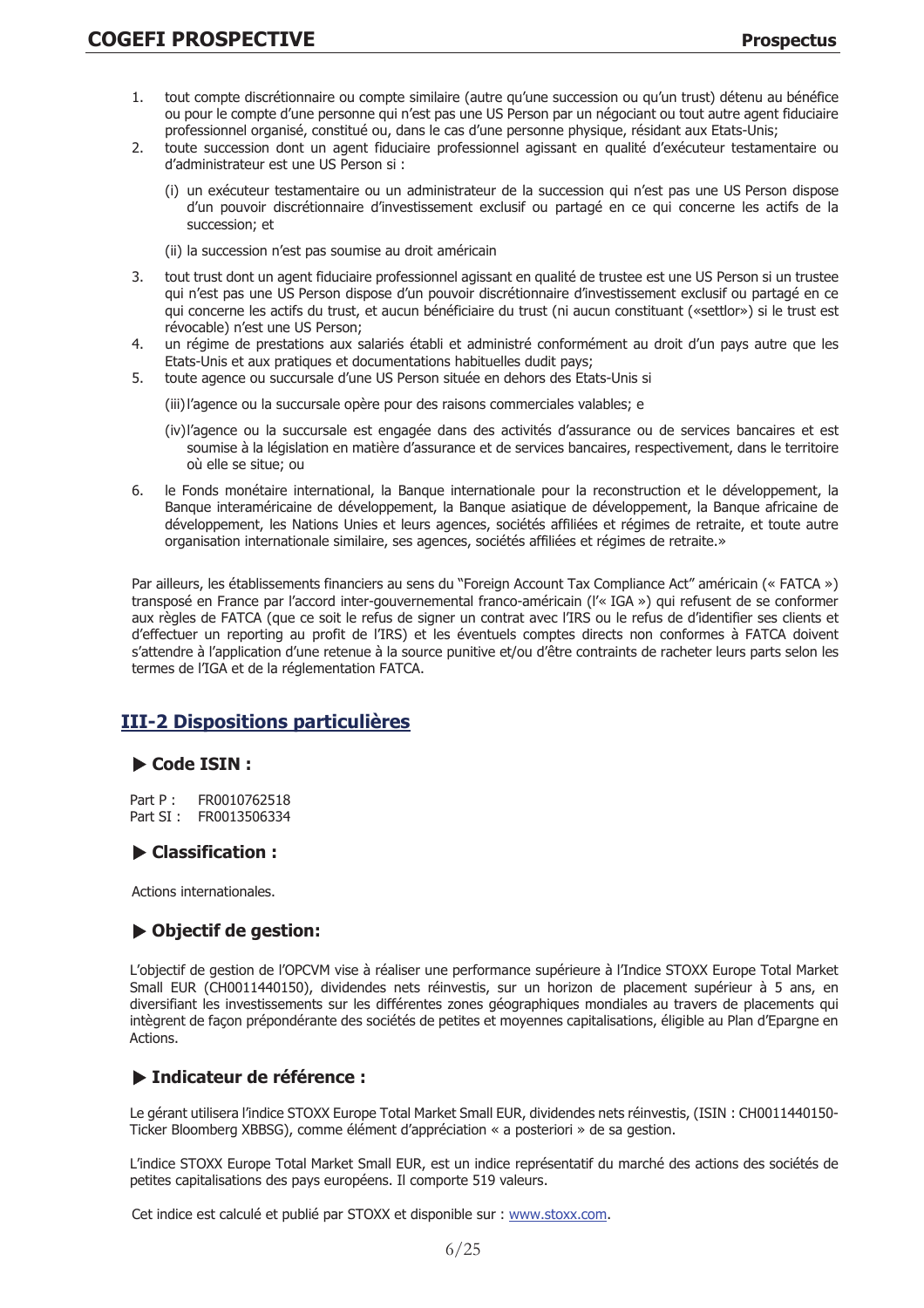- tout compte discrétionnaire ou compte similaire (autre qu'une succession ou qu'un trust) détenu au bénéfice 1. ou pour le compte d'une personne qui n'est pas une US Person par un négociant ou tout autre agent fiduciaire professionnel organisé, constitué ou, dans le cas d'une personne physique, résidant aux Etats-Unis;
- $\overline{2}$ . toute succession dont un agent fiduciaire professionnel agissant en qualité d'exécuteur testamentaire ou d'administrateur est une US Person si :
	- un exécuteur testamentaire ou un administrateur de la succession qui n'est pas une US Person dispose d'un pouvoir discrétionnaire d'investissement exclusif ou partagé en ce qui concerne les actifs de la succession; et
	- (ii) la succession n'est pas soumise au droit américain
- tout trust dont un agent fiduciaire professionnel agissant en qualité de trustee est une US Person si un trustee  $\mathcal{E}$ qui n'est pas une US Person dispose d'un pouvoir discrétionnaire d'investissement exclusif ou partagé en ce qui concerne les actifs du trust, et aucun bénéficiaire du trust (ni aucun constituant («settlor») si le trust est révocable) n'est une US Person;
- un régime de prestations aux salariés établi et administré conformément au droit d'un pays autre que les 4. Etats-Unis et aux pratiques et documentations habituelles dudit pays;
- 5. toute agence ou succursale d'une US Person située en dehors des Etats-Unis si
	- (iii) l'agence ou la succursale opère pour des raisons commerciales valables; e
	- (iv) l'agence ou la succursale est engagée dans des activités d'assurance ou de services bancaires et est soumise à la législation en matière d'assurance et de services bancaires, respectivement, dans le territoire où elle se situe; ou
- le Fonds monétaire international, la Banque internationale pour la reconstruction et le développement, la 6 Banque interaméricaine de développement, la Banque asiatique de développement, la Banque africaine de développement, les Nations Unies et leurs agences, sociétés affiliées et régimes de retraite, et toute autre organisation internationale similaire, ses agences, sociétés affiliées et régimes de retraite.»

Par ailleurs, les établissements financiers au sens du "Foreign Account Tax Compliance Act" américain (« FATCA ») transposé en France par l'accord inter-gouvernemental franco-américain (l'« IGA ») qui refusent de se conformer aux règles de FATCA (que ce soit le refus de signer un contrat avec l'IRS ou le refus de d'identifier ses clients et d'effectuer un reporting au profit de l'IRS) et les éventuels comptes directs non conformes à FATCA doivent s'attendre à l'application d'une retenue à la source punitive et/ou d'être contraints de racheter leurs parts selon les termes de l'IGA et de la réglementation FATCA.

# **III-2 Dispositions particulières**

# Code ISIN:

FR0010762518  $Part P.$ Part SI: FR0013506334

# $\blacktriangleright$  Classification :

Actions internationales.

# ▶ Objectif de gestion:

L'objectif de gestion de l'OPCVM vise à réaliser une performance supérieure à l'Indice STOXX Europe Total Market Small EUR (CH0011440150), dividendes nets réinvestis, sur un horizon de placement supérieur à 5 ans, en diversifiant les investissements sur les différentes zones géographiques mondiales au travers de placements qui intègrent de façon prépondérante des sociétés de petites et moyennes capitalisations, éligible au Plan d'Epargne en Actions.

# > Indicateur de référence :

Le gérant utilisera l'indice STOXX Europe Total Market Small EUR, dividendes nets réinvestis, (ISIN : CH0011440150-Ticker Bloomberg XBBSG), comme élément d'appréciation « a posteriori » de sa gestion.

L'indice STOXX Europe Total Market Small EUR, est un indice représentatif du marché des actions des sociétés de petites capitalisations des pays européens. Il comporte 519 valeurs.

Cet indice est calculé et publié par STOXX et disponible sur : www.stoxx.com.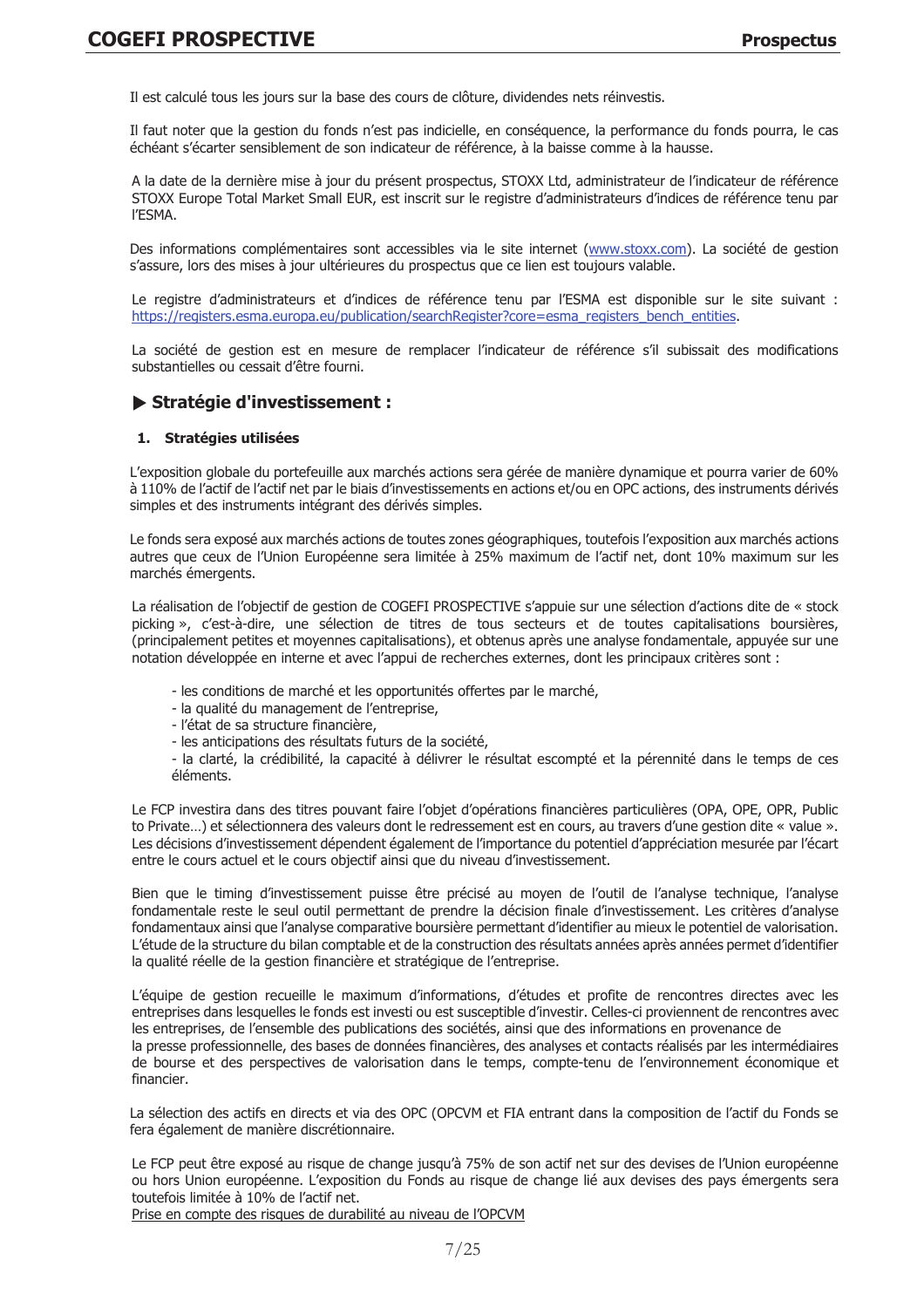Il est calculé tous les jours sur la base des cours de clôture, dividendes nets réinvestis.

Il faut noter que la gestion du fonds n'est pas indicielle, en conséguence, la performance du fonds pourra, le cas échéant s'écarter sensiblement de son indicateur de référence, à la baisse comme à la hausse.

A la date de la dernière mise à jour du présent prospectus, STOXX Ltd, administrateur de l'indicateur de référence STOXX Europe Total Market Small EUR, est inscrit sur le registre d'administrateurs d'indices de référence tenu par I'ESMA.

Des informations complémentaires sont accessibles via le site internet (www.stoxx.com). La société de gestion s'assure, lors des mises à jour ultérieures du prospectus que ce lien est toujours valable.

Le registre d'administrateurs et d'indices de référence tenu par l'ESMA est disponible sur le site suivant : https://registers.esma.europa.eu/publication/searchRegister?core=esma\_registers\_bench\_entities.

La société de gestion est en mesure de remplacer l'indicateur de référence s'il subissait des modifications substantielles ou cessait d'être fourni.

# Stratégie d'investissement :

## 1. Stratégies utilisées

L'exposition globale du portefeuille aux marchés actions sera gérée de manière dynamique et pourra varier de 60% à 110% de l'actif de l'actif net par le biais d'investissements en actions et/ou en OPC actions, des instruments dérivés simples et des instruments intégrant des dérivés simples.

Le fonds sera exposé aux marchés actions de toutes zones géographiques, toutefois l'exposition aux marchés actions autres que ceux de l'Union Européenne sera limitée à 25% maximum de l'actif net, dont 10% maximum sur les marchés émergents.

La réalisation de l'objectif de gestion de COGEFI PROSPECTIVE s'appuie sur une sélection d'actions dite de « stock picking », c'est-à-dire, une sélection de titres de tous secteurs et de toutes capitalisations boursières, (principalement petites et moyennes capitalisations), et obtenus après une analyse fondamentale, appuyée sur une notation développée en interne et avec l'appui de recherches externes, dont les principaux critères sont :

- les conditions de marché et les opportunités offertes par le marché,
- la qualité du management de l'entreprise,
- l'état de sa structure financière,
- les anticipations des résultats futurs de la société.

- la clarté, la crédibilité, la capacité à délivrer le résultat escompté et la pérennité dans le temps de ces éléments.

Le FCP investira dans des titres pouvant faire l'objet d'opérations financières particulières (OPA, OPE, OPR, Public to Private...) et sélectionnera des valeurs dont le redressement est en cours, au travers d'une gestion dite « value ». Les décisions d'investissement dépendent également de l'importance du potentiel d'appréciation mesurée par l'écart entre le cours actuel et le cours objectif ainsi que du niveau d'investissement.

Bien que le timing d'investissement puisse être précisé au moven de l'outil de l'analyse technique, l'analyse fondamentale reste le seul outil permettant de prendre la décision finale d'investissement. Les critères d'analyse fondamentaux ainsi que l'analyse comparative boursière permettant d'identifier au mieux le potentiel de valorisation. L'étude de la structure du bilan comptable et de la construction des résultats années après années permet d'identifier la qualité réelle de la gestion financière et stratégique de l'entreprise.

L'équipe de gestion recueille le maximum d'informations, d'études et profite de rencontres directes avec les entreprises dans lesquelles le fonds est investi ou est susceptible d'investir. Celles-ci proviennent de rencontres avec les entreprises, de l'ensemble des publications des sociétés, ainsi que des informations en provenance de la presse professionnelle, des bases de données financières, des analyses et contacts réalisés par les intermédiaires de bourse et des perspectives de valorisation dans le temps, compte-tenu de l'environnement économique et financier.

La sélection des actifs en directs et via des OPC (OPCVM et FIA entrant dans la composition de l'actif du Fonds se fera également de manière discrétionnaire.

Le FCP peut être exposé au risque de change jusqu'à 75% de son actif net sur des devises de l'Union européenne ou hors Union européenne. L'exposition du Fonds au risque de change lié aux devises des pays émergents sera toutefois limitée à 10% de l'actif net.

Prise en compte des risques de durabilité au niveau de l'OPCVM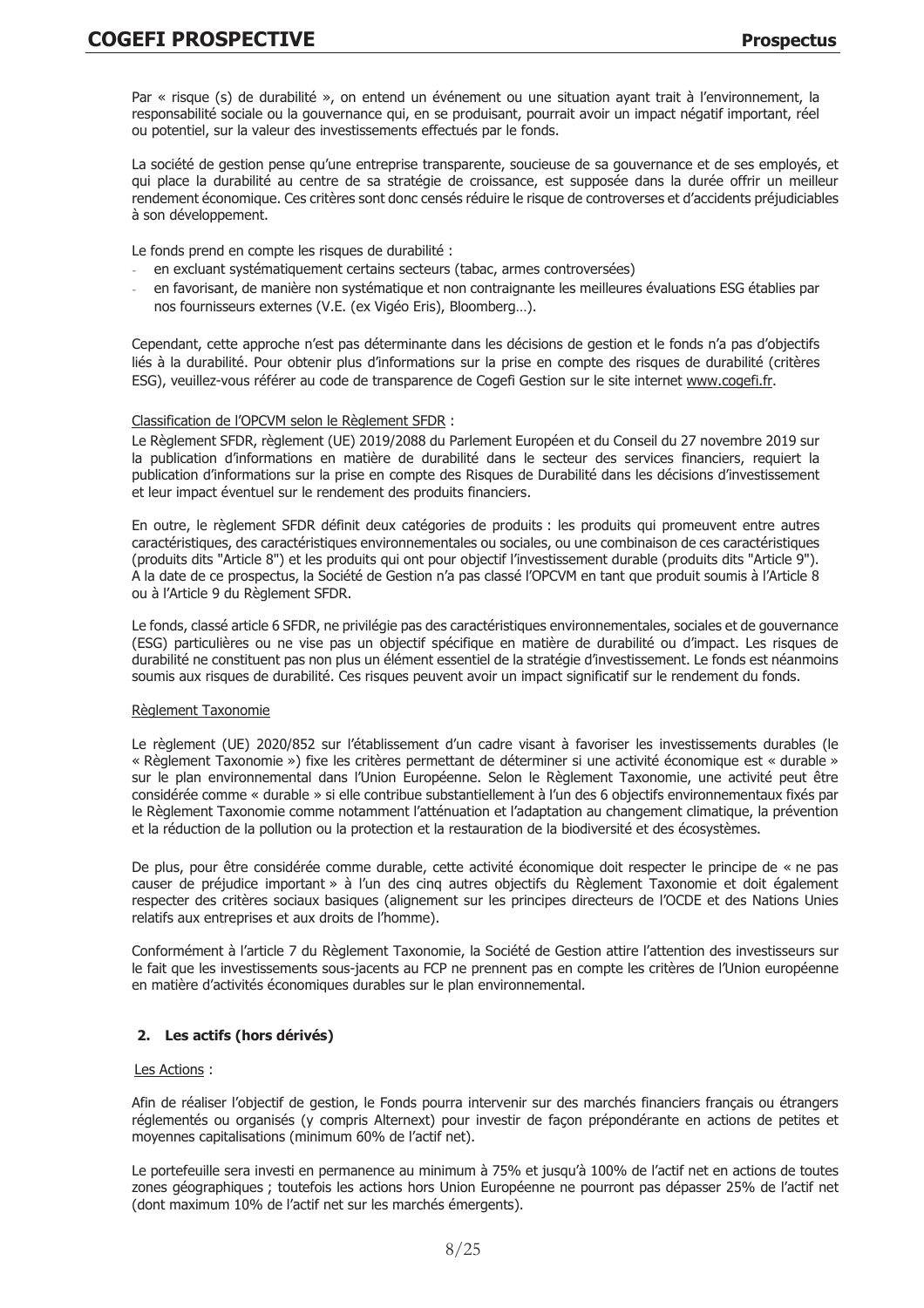Par « risque (s) de durabilité », on entend un événement ou une situation ayant trait à l'environnement, la responsabilité sociale ou la gouvernance qui, en se produisant, pourrait avoir un impact négatif important, réel ou potentiel, sur la valeur des investissements effectués par le fonds.

La société de gestion pense qu'une entreprise transparente, soucieuse de sa gouvernance et de ses employés, et qui place la durabilité au centre de sa stratégie de croissance, est supposée dans la durée offrir un meilleur rendement économique. Ces critères sont donc censés réduire le risque de controverses et d'accidents préjudiciables à son développement.

Le fonds prend en compte les risques de durabilité :

- en excluant systématiquement certains secteurs (tabac, armes controversées)
- en favorisant, de manière non systématique et non contraignante les meilleures évaluations ESG établies par nos fournisseurs externes (V.E. (ex Vigéo Eris), Bloomberg...).

Cependant, cette approche n'est pas déterminante dans les décisions de gestion et le fonds n'a pas d'objectifs liés à la durabilité. Pour obtenir plus d'informations sur la prise en compte des risques de durabilité (critères ESG), veuillez-vous référer au code de transparence de Cogefi Gestion sur le site internet www.cogefi.fr.

#### Classification de l'OPCVM selon le Règlement SFDR :

Le Règlement SFDR, règlement (UE) 2019/2088 du Parlement Européen et du Conseil du 27 novembre 2019 sur la publication d'informations en matière de durabilité dans le secteur des services financiers, requiert la publication d'informations sur la prise en compte des Risques de Durabilité dans les décisions d'investissement et leur impact éventuel sur le rendement des produits financiers.

En outre, le règlement SFDR définit deux catégories de produits : les produits qui promeuvent entre autres caractéristiques, des caractéristiques environnementales ou sociales, ou une combinaison de ces caractéristiques (produits dits "Article 8") et les produits qui ont pour objectif l'investissement durable (produits dits "Article 9"). A la date de ce prospectus, la Société de Gestion n'a pas classé l'OPCVM en tant que produit soumis à l'Article 8 ou à l'Article 9 du Règlement SFDR.

Le fonds, classé article 6 SFDR, ne privilégie pas des caractéristiques environnementales, sociales et de gouvernance (ESG) particulières ou ne vise pas un objectif spécifique en matière de durabilité ou d'impact. Les risques de durabilité ne constituent pas non plus un élément essentiel de la stratégie d'investissement. Le fonds est néanmoins soumis aux risques de durabilité. Ces risques peuvent avoir un impact significatif sur le rendement du fonds.

# Règlement Taxonomie

Le règlement (UE) 2020/852 sur l'établissement d'un cadre visant à favoriser les investissements durables (le « Règlement Taxonomie ») fixe les critères permettant de déterminer si une activité économique est « durable » sur le plan environnemental dans l'Union Européenne. Selon le Règlement Taxonomie, une activité peut être considérée comme « durable » si elle contribue substantiellement à l'un des 6 objectifs environnementaux fixés par le Règlement Taxonomie comme notamment l'atténuation et l'adaptation au changement climatique, la prévention et la réduction de la pollution ou la protection et la restauration de la biodiversité et des écosystèmes.

De plus, pour être considérée comme durable, cette activité économique doit respecter le principe de « ne pas causer de préjudice important » à l'un des cinq autres objectifs du Règlement Taxonomie et doit également respecter des critères sociaux basiques (alignement sur les principes directeurs de l'OCDE et des Nations Unies relatifs aux entreprises et aux droits de l'homme).

Conformément à l'article 7 du Règlement Taxonomie, la Société de Gestion attire l'attention des investisseurs sur le fait que les investissements sous-jacents au FCP ne prennent pas en compte les critères de l'Union européenne en matière d'activités économiques durables sur le plan environnemental.

# 2. Les actifs (hors dérivés)

#### Les Actions :

Afin de réaliser l'objectif de gestion, le Fonds pourra intervenir sur des marchés financiers français ou étrangers réglementés ou organisés (y compris Alternext) pour investir de facon prépondérante en actions de petites et moyennes capitalisations (minimum 60% de l'actif net).

Le portefeuille sera investi en permanence au minimum à 75% et jusqu'à 100% de l'actif net en actions de toutes zones géographiques ; toutefois les actions hors Union Européenne ne pourront pas dépasser 25% de l'actif net (dont maximum 10% de l'actif net sur les marchés émergents).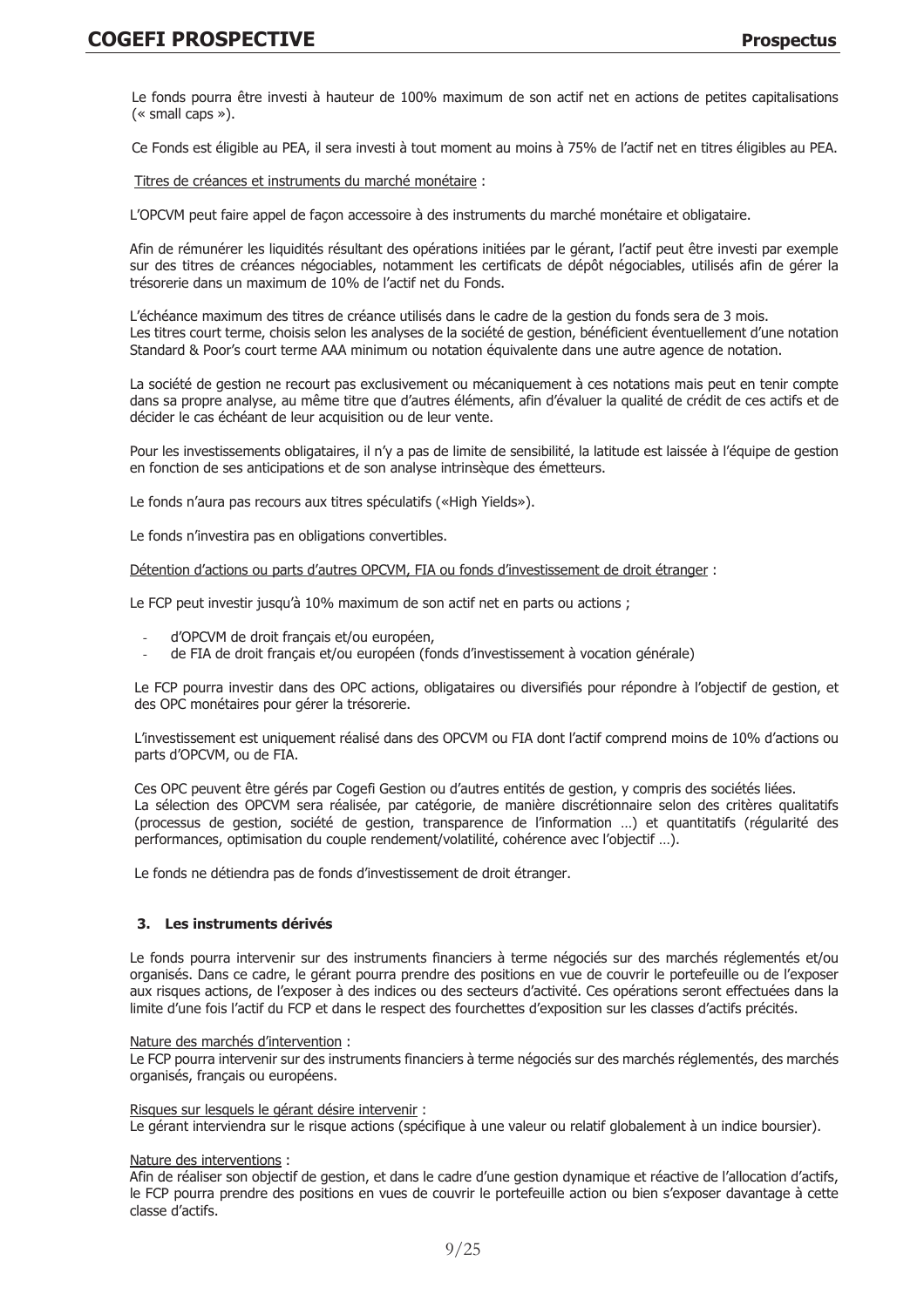Le fonds pourra être investi à hauteur de 100% maximum de son actif net en actions de petites capitalisations  $(* small caps »).$ 

Ce Fonds est éligible au PEA, il sera investi à tout moment au moins à 75% de l'actif net en titres éligibles au PEA.

Titres de créances et instruments du marché monétaire :

L'OPCVM peut faire appel de facon accessoire à des instruments du marché monétaire et obligataire.

Afin de rémunérer les liquidités résultant des opérations initiées par le gérant, l'actif peut être investi par exemple sur des titres de créances négociables, notamment les certificats de dépôt négociables, utilisés afin de gérer la trésorerie dans un maximum de 10% de l'actif net du Fonds.

L'échéance maximum des titres de créance utilisés dans le cadre de la gestion du fonds sera de 3 mois. Les titres court terme, choisis selon les analyses de la société de gestion, bénéficient éventuellement d'une notation Standard & Poor's court terme AAA minimum ou notation équivalente dans une autre agence de notation.

La société de gestion ne recourt pas exclusivement ou mécaniquement à ces notations mais peut en tenir compte dans sa propre analyse, au même titre que d'autres éléments, afin d'évaluer la qualité de crédit de ces actifs et de décider le cas échéant de leur acquisition ou de leur vente.

Pour les investissements obligataires, il n'y a pas de limite de sensibilité, la latitude est laissée à l'équipe de gestion en fonction de ses anticipations et de son analyse intrinsèque des émetteurs.

Le fonds n'aura pas recours aux titres spéculatifs («High Yields»).

Le fonds n'investira pas en obligations convertibles.

Détention d'actions ou parts d'autres OPCVM, FIA ou fonds d'investissement de droit étranger :

Le FCP peut investir jusqu'à 10% maximum de son actif net en parts ou actions ;

- d'OPCVM de droit français et/ou européen.
- de FIA de droit français et/ou européen (fonds d'investissement à vocation générale)

Le FCP pourra investir dans des OPC actions, obligataires ou diversifiés pour répondre à l'objectif de gestion, et des OPC monétaires pour gérer la trésorerie.

L'investissement est uniquement réalisé dans des OPCVM ou FIA dont l'actif comprend moins de 10% d'actions ou parts d'OPCVM, ou de FIA.

Ces OPC peuvent être gérés par Cogefi Gestion ou d'autres entités de gestion, y compris des sociétés liées. La sélection des OPCVM sera réalisée, par catégorie, de manière discrétionnaire selon des critères qualitatifs (processus de gestion, société de gestion, transparence de l'information ...) et quantitatifs (régularité des performances, optimisation du couple rendement/volatilité, cohérence avec l'objectif ...).

Le fonds ne détiendra pas de fonds d'investissement de droit étranger.

#### 3. Les instruments dérivés

Le fonds pourra intervenir sur des instruments financiers à terme négociés sur des marchés réglementés et/ou organisés. Dans ce cadre, le gérant pourra prendre des positions en vue de couvrir le portefeuille ou de l'exposer aux risques actions, de l'exposer à des indices ou des secteurs d'activité. Ces opérations seront effectuées dans la limite d'une fois l'actif du FCP et dans le respect des fourchettes d'exposition sur les classes d'actifs précités.

Nature des marchés d'intervention :

Le FCP pourra intervenir sur des instruments financiers à terme négociés sur des marchés réglementés, des marchés organisés, français ou européens.

#### Risques sur lesquels le gérant désire intervenir :

Le gérant interviendra sur le risque actions (spécifique à une valeur ou relatif globalement à un indice boursier).

Nature des interventions :

Afin de réaliser son objectif de gestion, et dans le cadre d'une gestion dynamique et réactive de l'allocation d'actifs, le FCP pourra prendre des positions en vues de couvrir le portefeuille action ou bien s'exposer davantage à cette classe d'actifs.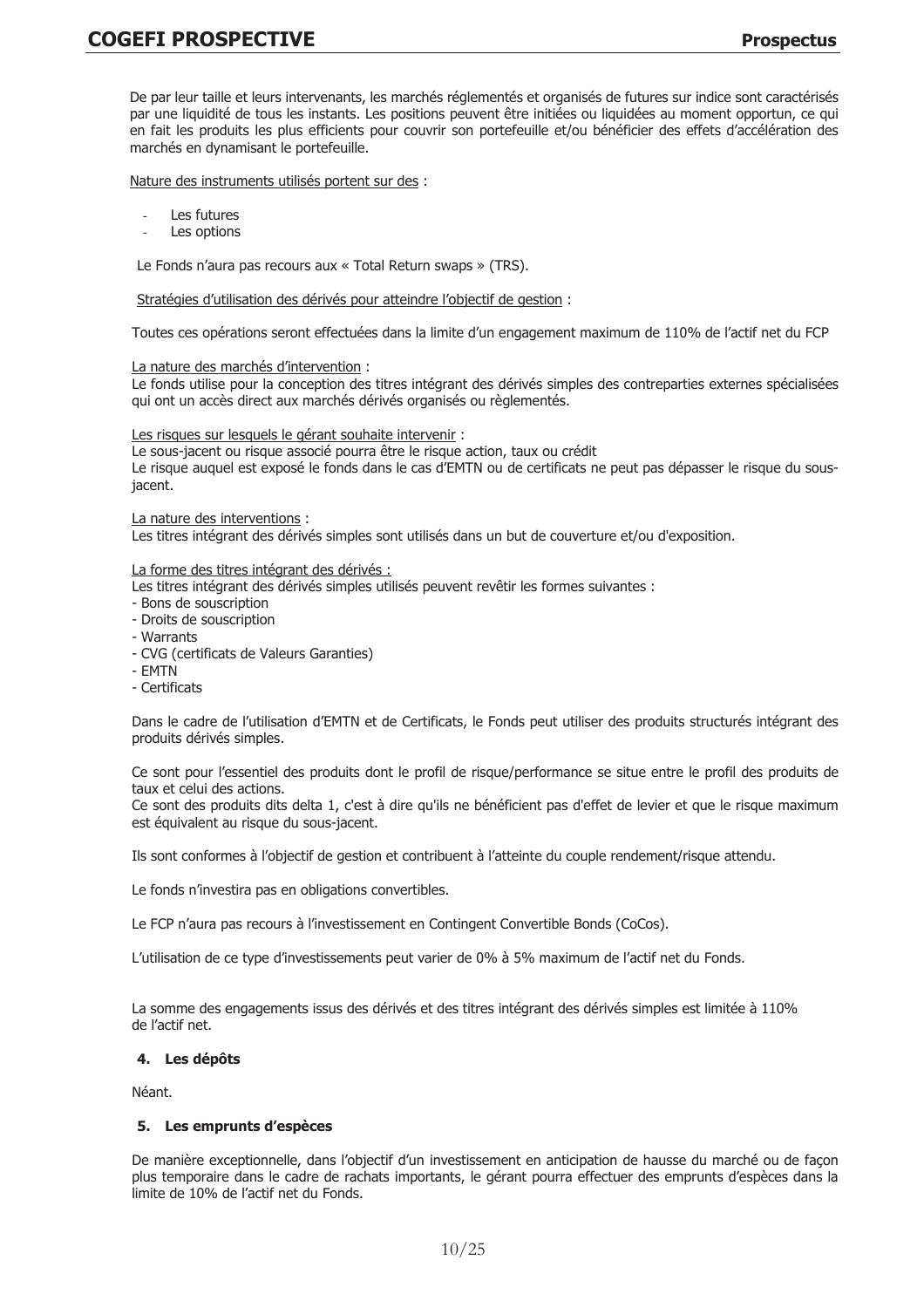De par leur taille et leurs intervenants, les marchés réglementés et organisés de futures sur indice sont caractérisés par une liquidité de tous les instants. Les positions peuvent être initiées ou liquidées au moment opportun, ce qui en fait les produits les plus efficients pour couvrir son portefeuille et/ou bénéficier des effets d'accélération des marchés en dynamisant le portefeuille.

Nature des instruments utilisés portent sur des :

- Les futures
- Les options

Le Fonds n'aura pas recours aux « Total Return swaps » (TRS).

Stratégies d'utilisation des dérivés pour atteindre l'objectif de gestion :

Toutes ces opérations seront effectuées dans la limite d'un engagement maximum de 110% de l'actif net du FCP

#### La nature des marchés d'intervention :

Le fonds utilise pour la conception des titres intégrant des dérivés simples des contreparties externes spécialisées qui ont un accès direct aux marchés dérivés organisés ou règlementés.

#### Les risques sur lesquels le gérant souhaite intervenir :

Le sous-jacent ou risque associé pourra être le risque action, taux ou crédit Le risque auquel est exposé le fonds dans le cas d'EMTN ou de certificats ne peut pas dépasser le risque du sousjacent.

#### La nature des interventions :

Les titres intégrant des dérivés simples sont utilisés dans un but de couverture et/ou d'exposition.

La forme des titres intégrant des dérivés :

Les titres intégrant des dérivés simples utilisés peuvent revêtir les formes suivantes :

- Bons de souscription
- Droits de souscription
- Warrants
- CVG (certificats de Valeurs Garanties)
- EMTN
- Certificats

Dans le cadre de l'utilisation d'EMTN et de Certificats, le Fonds peut utiliser des produits structurés intégrant des produits dérivés simples.

Ce sont pour l'essentiel des produits dont le profil de risque/performance se situe entre le profil des produits de taux et celui des actions.

Ce sont des produits dits delta 1, c'est à dire qu'ils ne bénéficient pas d'effet de levier et que le risque maximum est équivalent au risque du sous-jacent.

Ils sont conformes à l'objectif de gestion et contribuent à l'atteinte du couple rendement/risque attendu.

Le fonds n'investira pas en obligations convertibles.

Le FCP n'aura pas recours à l'investissement en Contingent Convertible Bonds (CoCos).

L'utilisation de ce type d'investissements peut varier de 0% à 5% maximum de l'actif net du Fonds.

La somme des engagements issus des dérivés et des titres intégrant des dérivés simples est limitée à 110% de l'actif net.

#### 4. Les dépôts

Néant

#### 5. Les emprunts d'espèces

De manière exceptionnelle, dans l'obiectif d'un investissement en anticipation de hausse du marché ou de facon plus temporaire dans le cadre de rachats importants, le gérant pourra effectuer des emprunts d'espèces dans la limite de 10% de l'actif net du Fonds.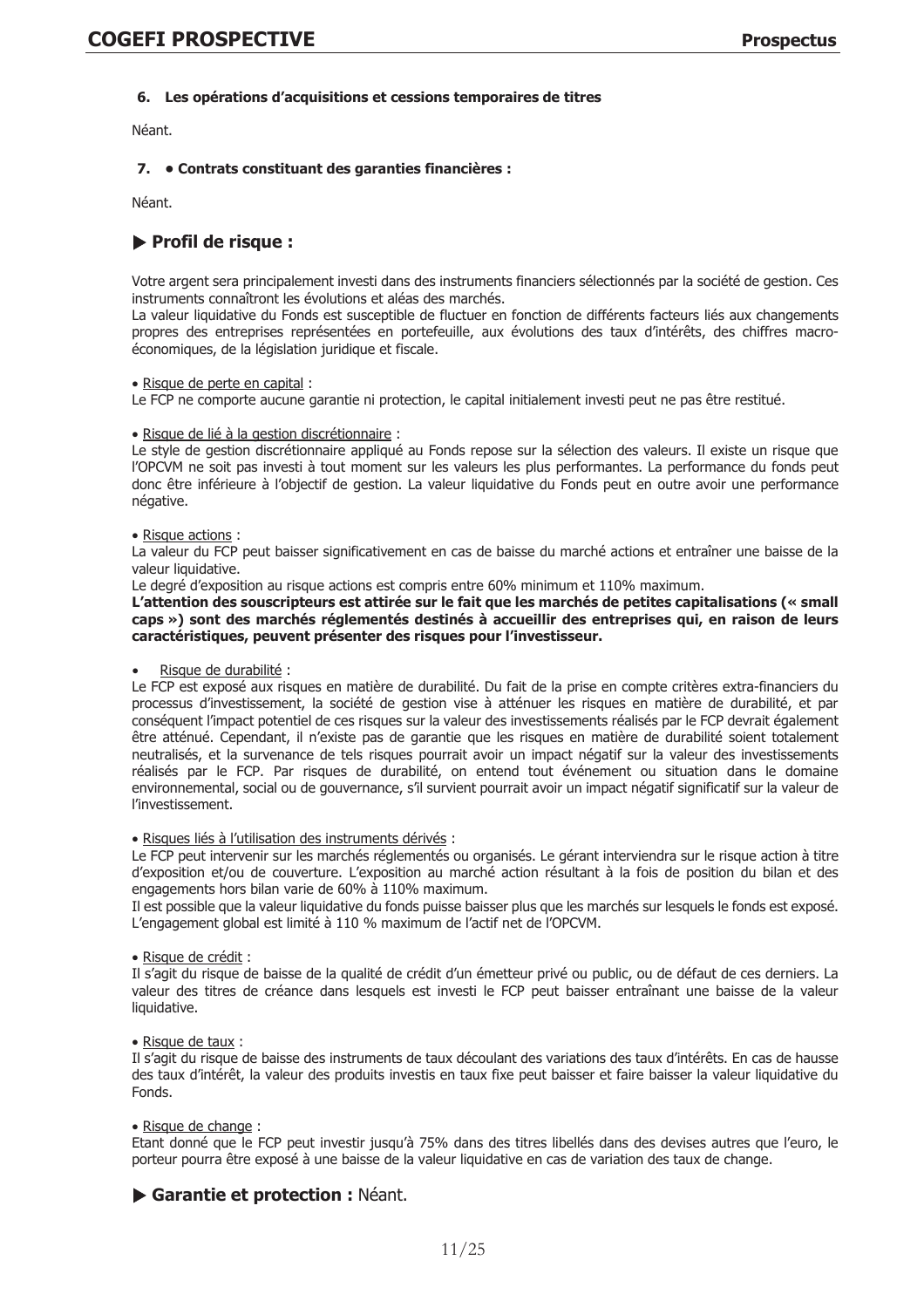# 6. Les opérations d'acquisitions et cessions temporaires de titres

Néant.

# 7. • Contrats constituant des garanties financières :

Néant.

# Profil de risque :

Votre argent sera principalement investi dans des instruments financiers sélectionnés par la société de gestion. Ces instruments connaîtront les évolutions et aléas des marchés.

La valeur liquidative du Fonds est susceptible de fluctuer en fonction de différents facteurs liés aux changements propres des entreprises représentées en portefeuille, aux évolutions des taux d'intérêts, des chiffres macroéconomiques, de la législation juridique et fiscale.

#### · Risque de perte en capital :

Le FCP ne comporte aucune garantie ni protection, le capital initialement investi peut ne pas être restitué.

#### · Risque de lié à la gestion discrétionnaire :

Le style de gestion discrétionnaire appliqué au Fonds repose sur la sélection des valeurs. Il existe un risque que l'OPCVM ne soit pas investi à tout moment sur les valeurs les plus performantes. La performance du fonds peut donc être inférieure à l'objectif de gestion. La valeur liquidative du Fonds peut en outre avoir une performance négative.

#### · Risque actions:

La valeur du FCP peut baisser significativement en cas de baisse du marché actions et entraîner une baisse de la valeur liquidative.

Le degré d'exposition au risque actions est compris entre 60% minimum et 110% maximum.

L'attention des souscripteurs est attirée sur le fait que les marchés de petites capitalisations (« small caps ») sont des marchés réglementés destinés à accueillir des entreprises qui, en raison de leurs caractéristiques, peuvent présenter des risques pour l'investisseur.

# Risque de durabilité :

Le FCP est exposé aux risques en matière de durabilité. Du fait de la prise en compte critères extra-financiers du processus d'investissement, la société de gestion vise à atténuer les risques en matière de durabilité, et par conséquent l'impact potentiel de ces risques sur la valeur des investissements réalisés par le FCP devrait également être atténué. Cependant, il n'existe pas de garantie que les risques en matière de durabilité soient totalement neutralisés, et la survenance de tels risques pourrait avoir un impact négatif sur la valeur des investissements réalisés par le FCP. Par risques de durabilité, on entend tout événement ou situation dans le domaine environnemental, social ou de gouvernance, s'il survient pourrait avoir un impact négatif significatif sur la valeur de l'investissement.

#### · Risques liés à l'utilisation des instruments dérivés :

Le FCP peut intervenir sur les marchés réglementés ou organisés. Le gérant interviendra sur le risque action à titre d'exposition et/ou de couverture. L'exposition au marché action résultant à la fois de position du bilan et des engagements hors bilan varie de 60% à 110% maximum.

Il est possible que la valeur liquidative du fonds puisse baisser plus que les marchés sur lesquels le fonds est exposé. L'engagement global est limité à 110 % maximum de l'actif net de l'OPCVM.

#### · Risque de crédit :

Il s'agit du risque de baisse de la qualité de crédit d'un émetteur privé ou public, ou de défaut de ces derniers. La valeur des titres de créance dans lesquels est investi le FCP peut baisser entraînant une baisse de la valeur liquidative.

#### · Risque de taux :

Il s'agit du risque de baisse des instruments de taux découlant des variations des taux d'intérêts. En cas de hausse des taux d'intérêt, la valeur des produits investis en taux fixe peut baisser et faire baisser la valeur liquidative du Fonds.

#### · Risque de change :

Etant donné que le FCP peut investir jusqu'à 75% dans des titres libellés dans des devises autres que l'euro, le porteur pourra être exposé à une baisse de la valeur liquidative en cas de variation des taux de change.

# Garantie et protection : Néant.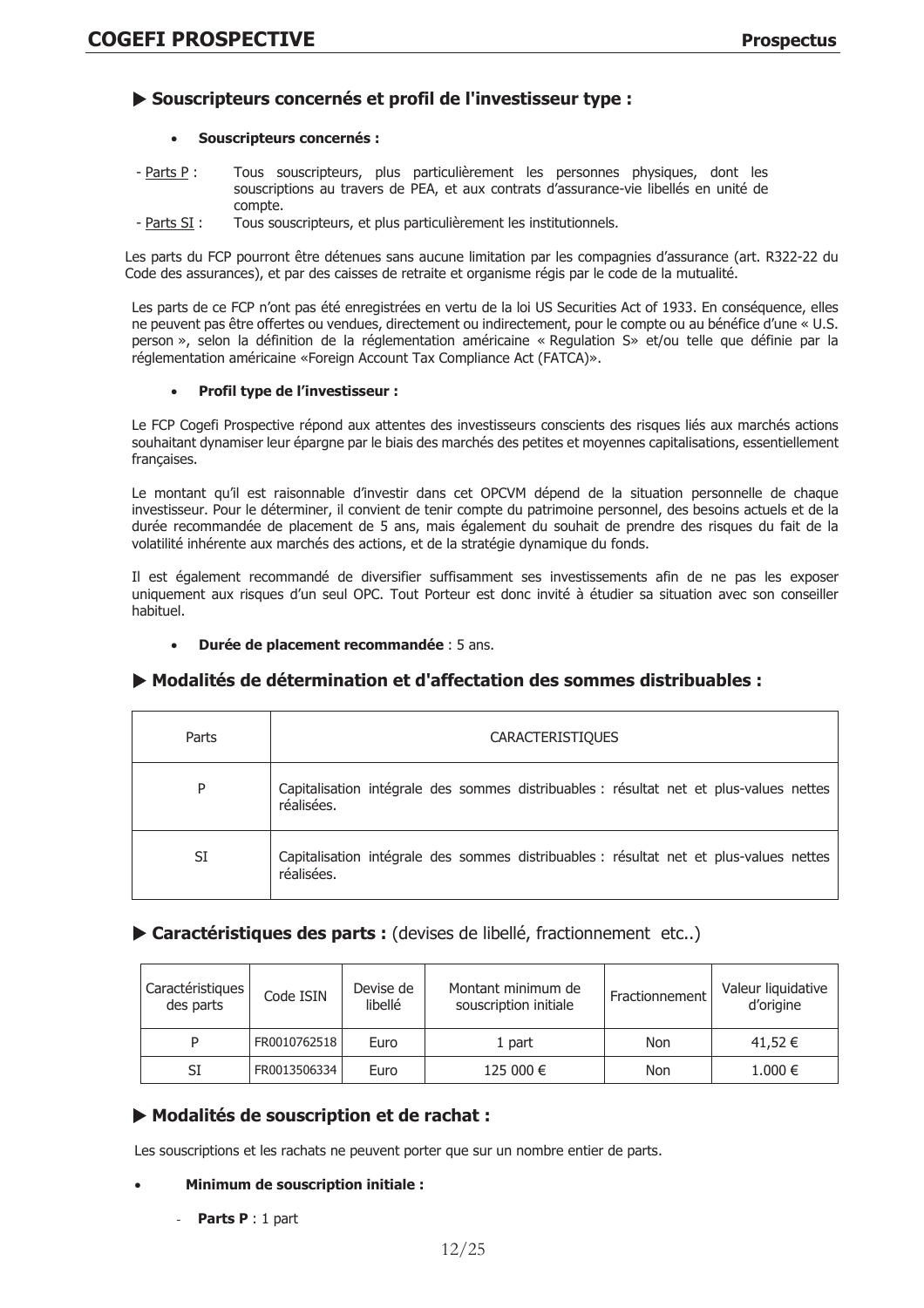# Souscripteurs concernés et profil de l'investisseur type :

# **Souscripteurs concernés:**

- Tous souscripteurs, plus particulièrement les personnes physiques, dont les  $-$  Parts P : souscriptions au travers de PEA, et aux contrats d'assurance-vie libellés en unité de compte.
- Parts SI : Tous souscripteurs, et plus particulièrement les institutionnels.

Les parts du FCP pourront être détenues sans aucune limitation par les compagnies d'assurance (art. R322-22 du Code des assurances), et par des caisses de retraite et organisme régis par le code de la mutualité.

Les parts de ce FCP n'ont pas été enregistrées en vertu de la loi US Securities Act of 1933. En conséquence, elles ne peuvent pas être offertes ou vendues, directement ou indirectement, pour le compte ou au bénéfice d'une « U.S. person », selon la définition de la réglementation américaine « Regulation S» et/ou telle que définie par la réglementation américaine «Foreign Account Tax Compliance Act (FATCA)».

#### Profil type de l'investisseur :  $\bullet$

Le FCP Cogefi Prospective répond aux attentes des investisseurs conscients des risques liés aux marchés actions souhaitant dynamiser leur épargne par le biais des marchés des petites et moyennes capitalisations, essentiellement françaises.

Le montant qu'il est raisonnable d'investir dans cet OPCVM dépend de la situation personnelle de chaque investisseur. Pour le déterminer, il convient de tenir compte du patrimoine personnel, des besoins actuels et de la durée recommandée de placement de 5 ans, mais également du souhait de prendre des risques du fait de la volatilité inhérente aux marchés des actions, et de la stratégie dynamique du fonds.

Il est également recommandé de diversifier suffisamment ses investissements afin de ne pas les exposer uniquement aux risques d'un seul OPC. Tout Porteur est donc invité à étudier sa situation avec son conseiller habituel.

Durée de placement recommandée : 5 ans.

# ▶ Modalités de détermination et d'affectation des sommes distribuables :

| Parts | <b>CARACTERISTIQUES</b>                                                                              |
|-------|------------------------------------------------------------------------------------------------------|
| P     | Capitalisation intégrale des sommes distribuables : résultat net et plus-values nettes<br>réalisées. |
| SI    | Capitalisation intégrale des sommes distribuables : résultat net et plus-values nettes<br>réalisées. |

# Caractéristiques des parts : (devises de libellé, fractionnement etc..)

| Caractéristiques<br>des parts | Code ISIN    | Devise de<br>libellé | Montant minimum de<br>souscription initiale | Fractionnement | Valeur liquidative<br>d'origine |
|-------------------------------|--------------|----------------------|---------------------------------------------|----------------|---------------------------------|
| P                             | FR0010762518 | Euro                 | 1 part                                      | Non            | 41,52 €                         |
| SI                            | FR0013506334 | Euro                 | 125 000 €                                   | Non            | 1.000 €                         |

# Modalités de souscription et de rachat :

Les souscriptions et les rachats ne peuvent porter que sur un nombre entier de parts.

# **Minimum de souscription initiale:**

**Parts P** : 1 part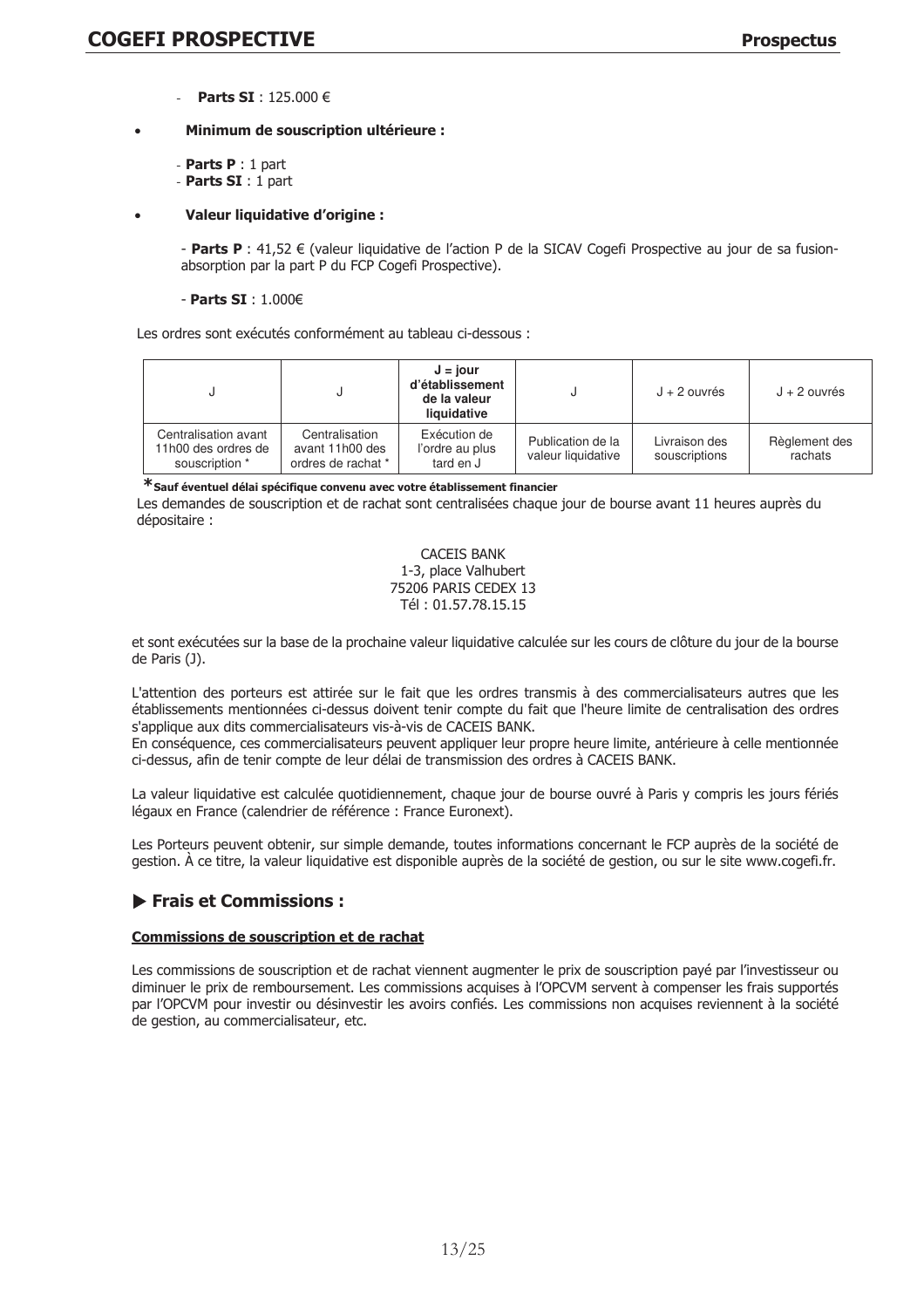Parts SI:  $125.000 \in$ 

# Minimum de souscription ultérieure :

- Parts  $P: 1$  part
- Parts  $SI:1$  part

# **Valeur liquidative d'origine :**

- Parts P : 41,52  $\epsilon$  (valeur liquidative de l'action P de la SICAV Cogefi Prospective au jour de sa fusionabsorption par la part P du FCP Cogefi Prospective).

## - Parts SI: 1.000€

Les ordres sont exécutés conformément au tableau ci-dessous :

|                                                               | U                                                       | $J = i$ our<br>d'établissement<br>de la valeur<br>liquidative |                                         | $J + 2$ ouvrés                 | $J + 2$ ouvrés           |
|---------------------------------------------------------------|---------------------------------------------------------|---------------------------------------------------------------|-----------------------------------------|--------------------------------|--------------------------|
| Centralisation avant<br>11h00 des ordres de<br>souscription * | Centralisation<br>avant 11h00 des<br>ordres de rachat * | Exécution de<br>l'ordre au plus<br>tard en J                  | Publication de la<br>valeur liquidative | Livraison des<br>souscriptions | Règlement des<br>rachats |

\*Sauf éventuel délai spécifique convenu avec votre établissement financier

Les demandes de souscription et de rachat sont centralisées chaque jour de bourse avant 11 heures auprès du dépositaire :

> **CACEIS BANK** 1-3, place Valhubert 75206 PARIS CEDEX 13 Tél: 01.57.78.15.15

et sont exécutées sur la base de la prochaine valeur liquidative calculée sur les cours de clôture du jour de la bourse de Paris (J).

L'attention des porteurs est attirée sur le fait que les ordres transmis à des commercialisateurs autres que les établissements mentionnées ci-dessus doivent tenir compte du fait que l'heure limite de centralisation des ordres s'applique aux dits commercialisateurs vis-à-vis de CACEIS BANK.

En conséquence, ces commercialisateurs peuvent appliquer leur propre heure limite, antérieure à celle mentionnée ci-dessus, afin de tenir compte de leur délai de transmission des ordres à CACEIS BANK.

La valeur liquidative est calculée quotidiennement, chaque jour de bourse ouvré à Paris y compris les jours fériés légaux en France (calendrier de référence : France Euronext).

Les Porteurs peuvent obtenir, sur simple demande, toutes informations concernant le FCP auprès de la société de gestion. À ce titre, la valeur liquidative est disponible auprès de la société de gestion, ou sur le site www.cogefi.fr.

# $\blacktriangleright$  Frais et Commissions :

# Commissions de souscription et de rachat

Les commissions de souscription et de rachat viennent augmenter le prix de souscription payé par l'investisseur ou diminuer le prix de remboursement. Les commissions acquises à l'OPCVM servent à compenser les frais supportés par l'OPCVM pour investir ou désinvestir les avoirs confiés. Les commissions non acquises reviennent à la société de gestion, au commercialisateur, etc.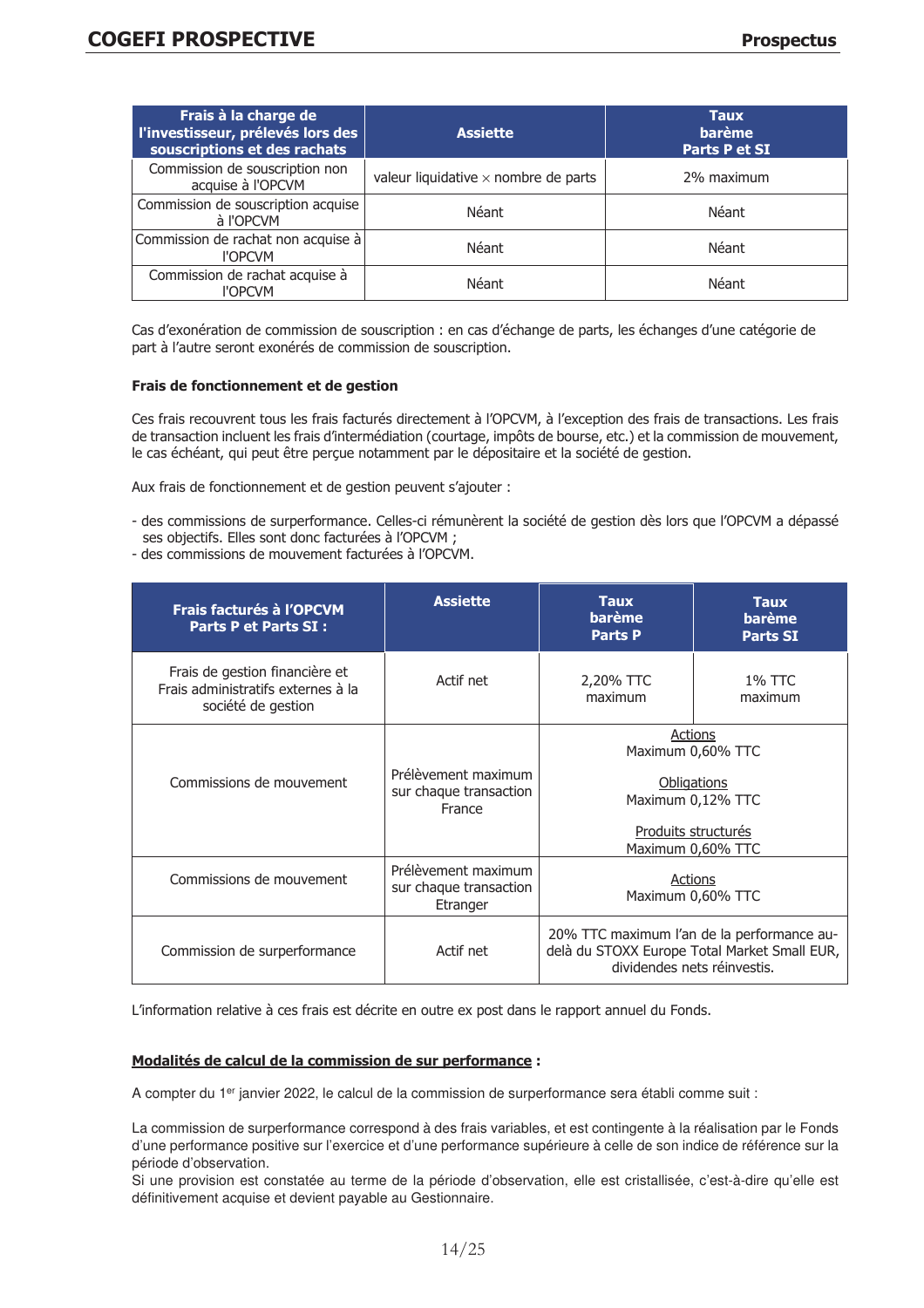| Frais à la charge de<br>l'investisseur, prélevés lors des<br>souscriptions et des rachats | <b>Assiette</b>                             | <b>Taux</b><br><b>barème</b><br>Parts P et SI |
|-------------------------------------------------------------------------------------------|---------------------------------------------|-----------------------------------------------|
| Commission de souscription non<br>acquise à l'OPCVM                                       | valeur liquidative $\times$ nombre de parts | 2% maximum                                    |
| Commission de souscription acquise<br>à l'OPCVM                                           | Néant                                       | Néant                                         |
| Commission de rachat non acquise à<br><b>I'OPCVM</b>                                      | Néant                                       | Néant                                         |
| Commission de rachat acquise à<br><b>I'OPCVM</b>                                          | Néant                                       | Néant                                         |

Cas d'exonération de commission de souscription : en cas d'échange de parts, les échanges d'une catégorie de part à l'autre seront exonérés de commission de souscription.

#### **Frais de fonctionnement et de gestion**

Ces frais recouvrent tous les frais facturés directement à l'OPCVM, à l'exception des frais de transactions. Les frais de transaction incluent les frais d'intermédiation (courtage, impôts de bourse, etc.) et la commission de mouvement, le cas échéant, qui peut être perçue notamment par le dépositaire et la société de gestion.

Aux frais de fonctionnement et de gestion peuvent s'ajouter :

- des commissions de surperformance. Celles-ci rémunèrent la société de gestion dès lors que l'OPCVM a dépassé ses objectifs. Elles sont donc facturées à l'OPCVM ;
- des commissions de mouvement facturées à l'OPCVM.

| Frais facturés à l'OPCVM<br><b>Parts P et Parts SI:</b>                                    | <b>Assiette</b>                                           | <b>Taux</b><br>barème<br><b>Parts P</b> | <b>Taux</b><br><b>barème</b><br><b>Parts SI</b>                                                                            |
|--------------------------------------------------------------------------------------------|-----------------------------------------------------------|-----------------------------------------|----------------------------------------------------------------------------------------------------------------------------|
| Frais de gestion financière et<br>Frais administratifs externes à la<br>société de gestion | Actif net                                                 | 2,20% TTC<br>maximum                    | 1% TTC<br>maximum                                                                                                          |
| Commissions de mouvement                                                                   | Prélèvement maximum<br>sur chaque transaction<br>France   |                                         | <b>Actions</b><br>Maximum 0,60% TTC<br><b>Obligations</b><br>Maximum 0,12% TTC<br>Produits structurés<br>Maximum 0,60% TTC |
| Commissions de mouvement                                                                   | Prélèvement maximum<br>sur chaque transaction<br>Etranger | Actions<br>Maximum 0,60% TTC            |                                                                                                                            |
| Actif net<br>Commission de surperformance                                                  |                                                           |                                         | 20% TTC maximum l'an de la performance au-<br>delà du STOXX Europe Total Market Small EUR,<br>dividendes nets réinvestis.  |

L'information relative à ces frais est décrite en outre ex post dans le rapport annuel du Fonds.

# Modalités de calcul de la commission de sur performance :

A compter du 1er janvier 2022, le calcul de la commission de surperformance sera établi comme suit :

La commission de surperformance correspond à des frais variables, et est contingente à la réalisation par le Fonds d'une performance positive sur l'exercice et d'une performance supérieure à celle de son indice de référence sur la période d'observation.

Si une provision est constatée au terme de la période d'observation, elle est cristallisée, c'est-à-dire qu'elle est définitivement acquise et devient payable au Gestionnaire.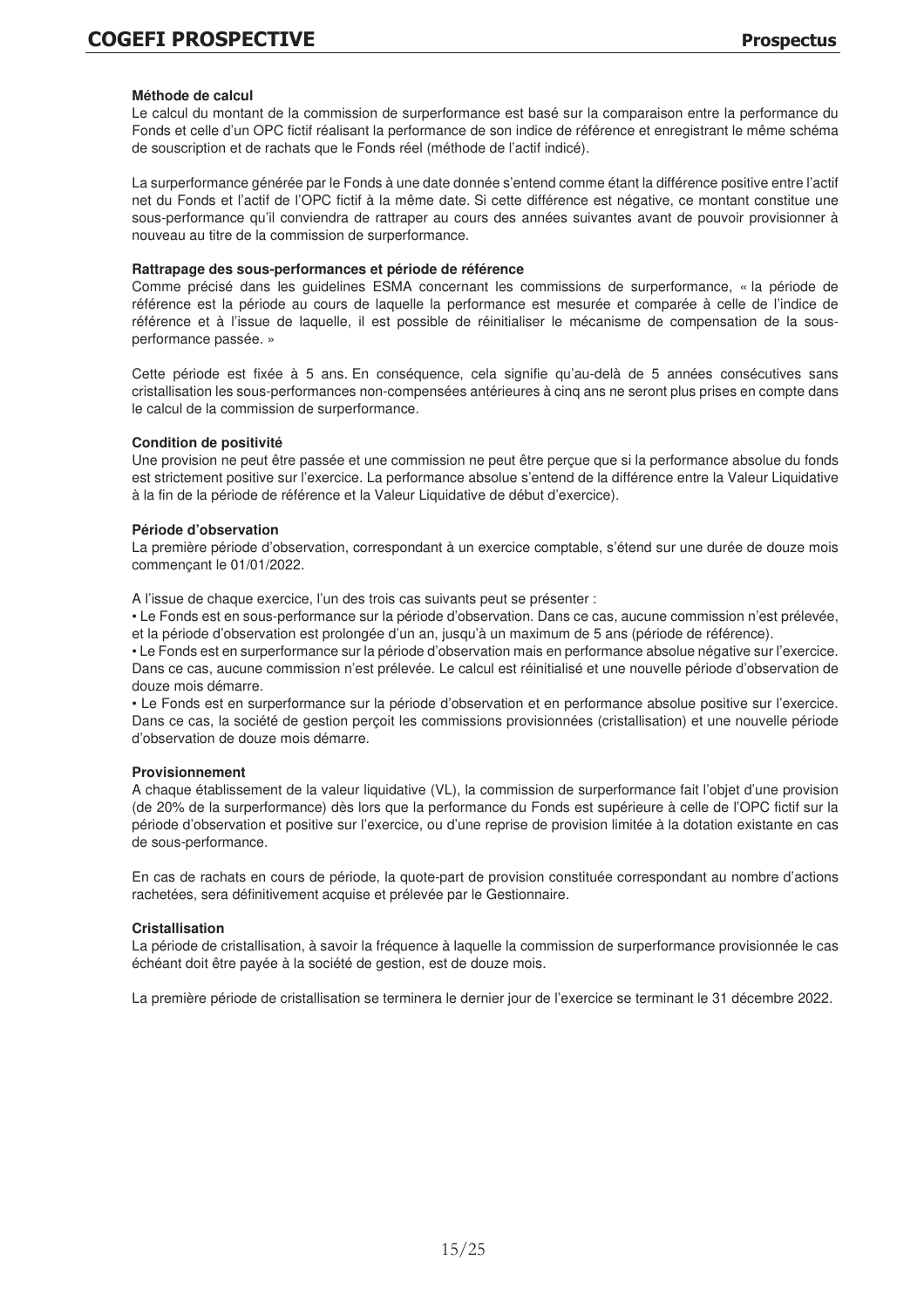## **Méthode de calcul**

Le calcul du montant de la commission de surperformance est basé sur la comparaison entre la performance du Fonds et celle d'un OPC fictif réalisant la performance de son indice de référence et enregistrant le même schéma de souscription et de rachats que le Fonds réel (méthode de l'actif indicé).

La surperformance générée par le Fonds à une date donnée s'entend comme étant la différence positive entre l'actif net du Fonds et l'actif de l'OPC fictif à la même date. Si cette différence est négative, ce montant constitue une sous-performance qu'il conviendra de rattraper au cours des années suivantes avant de pouvoir provisionner à nouveau au titre de la commission de surperformance.

#### **Rattrapage des sous-performances et période de référence**

Comme précisé dans les guidelines ESMA concernant les commissions de surperformance, « la période de référence est la période au cours de laquelle la performance est mesurée et comparée à celle de l'indice de référence et à l'issue de laquelle, il est possible de réinitialiser le mécanisme de compensation de la sousperformance passée. »

Cette période est fixée à 5 ans. En conséquence, cela signifie qu'au-delà de 5 années consécutives sans cristallisation les sous-performances non-compensées antérieures à cinq ans ne seront plus prises en compte dans le calcul de la commission de surperformance.

#### **Condition de positivité**

Une provision ne peut être passée et une commission ne peut être perçue que si la performance absolue du fonds est strictement positive sur l'exercice. La performance absolue s'entend de la différence entre la Valeur Liquidative à la fin de la période de référence et la Valeur Liquidative de début d'exercice).

#### **Période d'observation**

La première période d'observation, correspondant à un exercice comptable, s'étend sur une durée de douze mois commençant le 01/01/2022.

A l'issue de chaque exercice, l'un des trois cas suivants peut se présenter :

• Le Fonds est en sous-performance sur la période d'observation. Dans ce cas, aucune commission n'est prélevée, et la période d'observation est prolongée d'un an, jusqu'à un maximum de 5 ans (période de référence).

• Le Fonds est en surperformance sur la période d'observation mais en performance absolue négative sur l'exercice. Dans ce cas, aucune commission n'est prélevée. Le calcul est réinitialisé et une nouvelle période d'observation de douze mois démarre.

• Le Fonds est en surperformance sur la période d'observation et en performance absolue positive sur l'exercice. Dans ce cas, la société de gestion perçoit les commissions provisionnées (cristallisation) et une nouvelle période d'observation de douze mois démarre.

#### **Provisionnement**

A chaque établissement de la valeur liquidative (VL), la commission de surperformance fait l'objet d'une provision (de 20% de la surperformance) dès lors que la performance du Fonds est supérieure à celle de l'OPC fictif sur la période d'observation et positive sur l'exercice, ou d'une reprise de provision limitée à la dotation existante en cas de sous-performance.

En cas de rachats en cours de période, la quote-part de provision constituée correspondant au nombre d'actions rachetées, sera définitivement acquise et prélevée par le Gestionnaire.

#### **Cristallisation**

La période de cristallisation, à savoir la fréquence à laquelle la commission de surperformance provisionnée le cas échéant doit être payée à la société de gestion, est de douze mois.

La première période de cristallisation se terminera le dernier jour de l'exercice se terminant le 31 décembre 2022.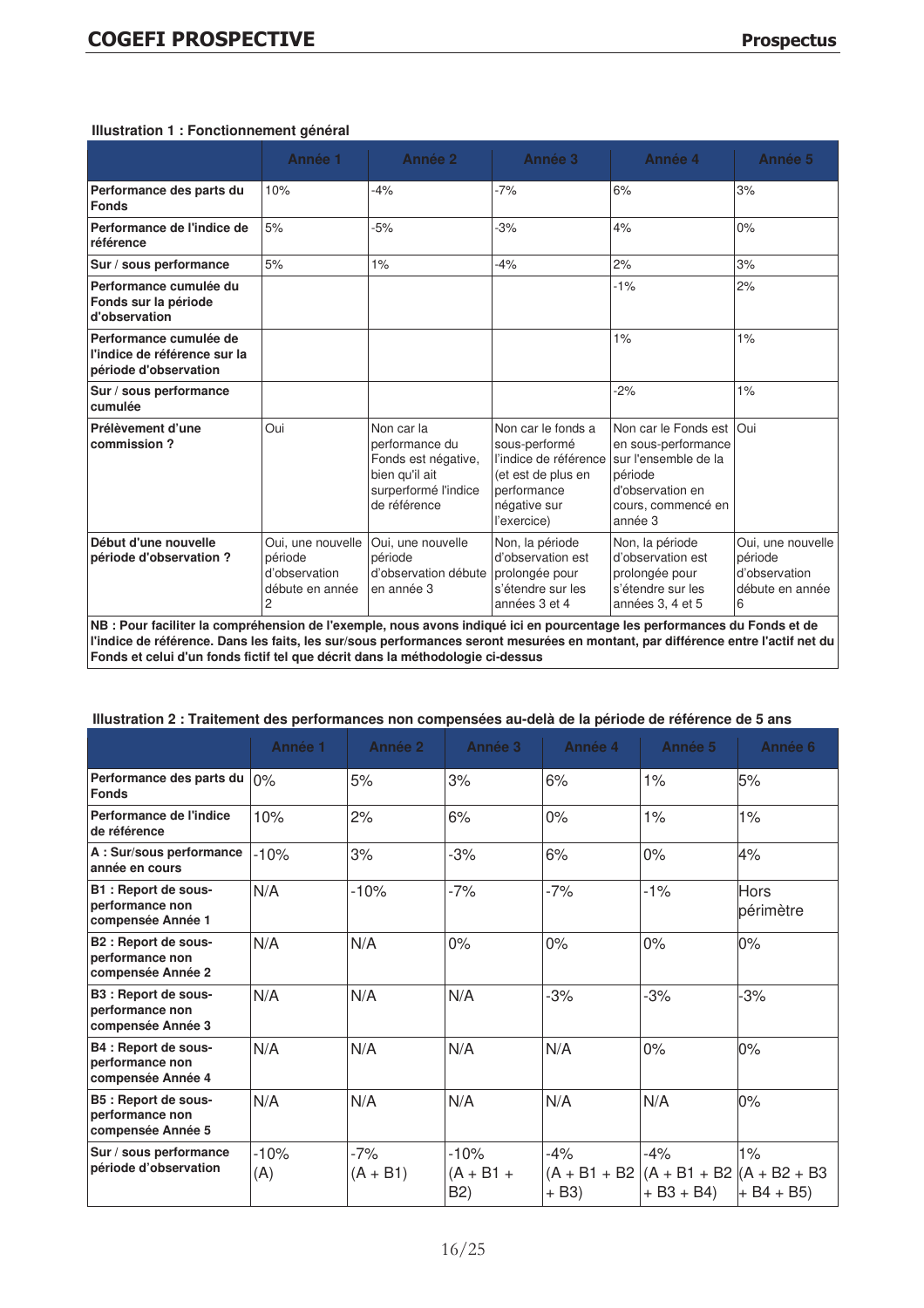|  |  | Illustration 1 : Fonctionnement général |  |
|--|--|-----------------------------------------|--|
|--|--|-----------------------------------------|--|

|                                                                                 | Année 1                                                                                                                                                                                                                                                      | Année 2                                                                                                       | Année 3                                                                                                                          | Année 4                                                                                                                             | Année 5                                                               |  |  |
|---------------------------------------------------------------------------------|--------------------------------------------------------------------------------------------------------------------------------------------------------------------------------------------------------------------------------------------------------------|---------------------------------------------------------------------------------------------------------------|----------------------------------------------------------------------------------------------------------------------------------|-------------------------------------------------------------------------------------------------------------------------------------|-----------------------------------------------------------------------|--|--|
| Performance des parts du<br><b>Fonds</b>                                        | 10%                                                                                                                                                                                                                                                          | $-4%$                                                                                                         | $-7%$                                                                                                                            | 6%                                                                                                                                  | 3%                                                                    |  |  |
| Performance de l'indice de<br>référence                                         | 5%                                                                                                                                                                                                                                                           | $-5%$                                                                                                         | $-3%$                                                                                                                            | 4%                                                                                                                                  | 0%                                                                    |  |  |
| Sur / sous performance                                                          | 5%                                                                                                                                                                                                                                                           | 1%                                                                                                            | $-4%$                                                                                                                            | 2%                                                                                                                                  | 3%                                                                    |  |  |
| Performance cumulée du<br>Fonds sur la période<br>d'observation                 |                                                                                                                                                                                                                                                              |                                                                                                               |                                                                                                                                  | $-1%$                                                                                                                               | 2%                                                                    |  |  |
| Performance cumulée de<br>l'indice de référence sur la<br>période d'observation |                                                                                                                                                                                                                                                              |                                                                                                               |                                                                                                                                  | 1%                                                                                                                                  | 1%                                                                    |  |  |
| Sur / sous performance<br>cumulée                                               |                                                                                                                                                                                                                                                              |                                                                                                               |                                                                                                                                  | $-2%$                                                                                                                               | $1\%$                                                                 |  |  |
| Prélèvement d'une<br>commission?                                                | Oui                                                                                                                                                                                                                                                          | Non car la<br>performance du<br>Fonds est négative,<br>bien qu'il ait<br>surperformé l'indice<br>de référence | Non car le fonds a<br>sous-performé<br>l'indice de référence<br>(et est de plus en<br>performance<br>négative sur<br>l'exercice) | Non car le Fonds est<br>en sous-performance<br>sur l'ensemble de la<br>période<br>d'observation en<br>cours, commencé en<br>année 3 | Oui                                                                   |  |  |
| Début d'une nouvelle<br>période d'observation?                                  | Oui, une nouvelle<br>période<br>d'observation<br>débute en année<br>2                                                                                                                                                                                        | Oui, une nouvelle<br>période<br>d'observation débute<br>en année 3                                            | Non, la période<br>d'observation est<br>prolongée pour<br>s'étendre sur les<br>années 3 et 4                                     | Non, la période<br>d'observation est<br>prolongée pour<br>s'étendre sur les<br>années 3, 4 et 5                                     | Oui, une nouvelle<br>période<br>d'observation<br>débute en année<br>6 |  |  |
|                                                                                 | NB : Pour faciliter la compréhension de l'exemple, nous avons indiqué ici en pourcentage les performances du Fonds et de<br>l'indice de référence. Dans les faits, les sur/sous performances seront mesurées en montant, par différence entre l'actif net du |                                                                                                               |                                                                                                                                  |                                                                                                                                     |                                                                       |  |  |

**Fonds et celui d'un fonds fictif tel que décrit dans la méthodologie ci-dessus**

# **Illustration 2 : Traitement des performances non compensées au-delà de la période de référence de 5 ans**

|                                                              | Année 1       | Année 2             | Année 3                                   | Année 4          | Année 5                                                           | Année 6                  |
|--------------------------------------------------------------|---------------|---------------------|-------------------------------------------|------------------|-------------------------------------------------------------------|--------------------------|
| Performance des parts du<br><b>Fonds</b>                     | 0%            | 5%                  | 3%                                        | 6%               | 1%                                                                | 5%                       |
| Performance de l'indice<br>de référence                      | 10%           | 2%                  | 6%                                        | 0%               | 1%                                                                | 1%                       |
| A: Sur/sous performance<br>année en cours                    | $-10%$        | 3%                  | $-3%$                                     | 6%               | 0%                                                                | 4%                       |
| B1: Report de sous-<br>performance non<br>compensée Année 1  | N/A           | $-10%$              | $-7%$                                     | $-7%$            | $-1\%$                                                            | <b>Hors</b><br>périmètre |
| B2 : Report de sous-<br>performance non<br>compensée Année 2 | N/A           | N/A                 | 0%                                        | 0%               | 0%                                                                | $0\%$                    |
| B3 : Report de sous-<br>performance non<br>compensée Année 3 | N/A           | N/A                 | N/A                                       | $-3%$            | $-3%$                                                             | 3%                       |
| B4 : Report de sous-<br>performance non<br>compensée Année 4 | N/A           | N/A                 | N/A                                       | N/A              | 0%                                                                | 0%                       |
| B5 : Report de sous-<br>performance non<br>compensée Année 5 | N/A           | N/A                 | N/A                                       | N/A              | N/A                                                               | $0\%$                    |
| Sur / sous performance<br>période d'observation              | $-10%$<br>(A) | $-7%$<br>$(A + B1)$ | $-10%$<br>$(A + B1 +$<br>B <sub>2</sub> ) | $-4%$<br>$+ B3)$ | $-4%$<br>$(A + B1 + B2)(A + B1 + B2)(A + B2 + B3)$<br>$+ B3 + B4$ | $1\%$<br>$+ B4 + B5$     |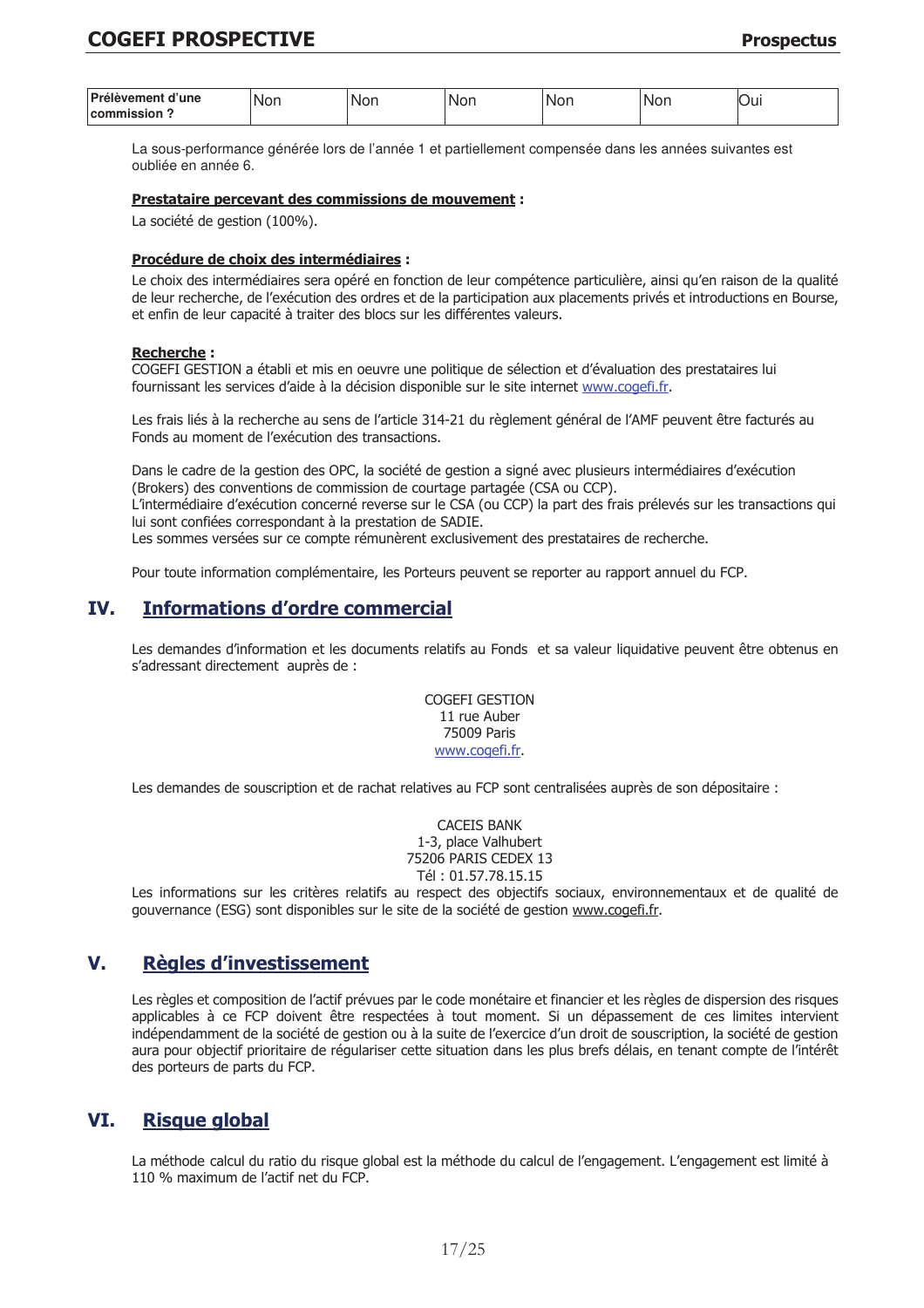| Prélèvement<br>d'une   | von<br>M | NG<br>or | Nor | Nor | INOI | vui |
|------------------------|----------|----------|-----|-----|------|-----|
| ıieei∩n<br>comm<br>___ |          |          |     |     |      |     |

La sous-performance générée lors de l'année 1 et partiellement compensée dans les années suivantes est oubliée en année 6.

#### Prestataire percevant des commissions de mouvement :

La société de gestion (100%).

#### Procédure de choix des intermédiaires :

Le choix des intermédiaires sera opéré en fonction de leur compétence particulière, ainsi qu'en raison de la qualité de leur recherche, de l'exécution des ordres et de la participation aux placements privés et introductions en Bourse, et enfin de leur capacité à traiter des blocs sur les différentes valeurs.

#### **Recherche:**

COGEFI GESTION a établi et mis en oeuvre une politique de sélection et d'évaluation des prestataires lui fournissant les services d'aide à la décision disponible sur le site internet www.cogefi.fr.

Les frais liés à la recherche au sens de l'article 314-21 du règlement général de l'AMF peuvent être facturés au Fonds au moment de l'exécution des transactions.

Dans le cadre de la gestion des OPC, la société de gestion a signé avec plusieurs intermédiaires d'exécution (Brokers) des conventions de commission de courtage partagée (CSA ou CCP).

L'intermédiaire d'exécution concerné reverse sur le CSA (ou CCP) la part des frais prélevés sur les transactions qui lui sont confiées correspondant à la prestation de SADIE.

Les sommes versées sur ce compte rémunèrent exclusivement des prestataires de recherche.

Pour toute information complémentaire, les Porteurs peuvent se reporter au rapport annuel du FCP.

#### TV<sub>-</sub> **Informations d'ordre commercial**

Les demandes d'information et les documents relatifs au Fonds et sa valeur liquidative peuvent être obtenus en s'adressant directement auprès de :

> **COGEFI GESTION** 11 rue Auber 75009 Paris www.cogefi.fr.

Les demandes de souscription et de rachat relatives au FCP sont centralisées auprès de son dépositaire :

**CACEIS BANK** 1-3, place Valhubert 75206 PARIS CEDEX 13 Tél: 01.57.78.15.15

Les informations sur les critères relatifs au respect des objectifs sociaux, environnementaux et de qualité de gouvernance (ESG) sont disponibles sur le site de la société de gestion www.cogefi.fr.

#### $V_{-}$ **Règles d'investissement**

Les règles et composition de l'actif prévues par le code monétaire et financier et les règles de dispersion des risques applicables à ce FCP doivent être respectées à tout moment. Si un dépassement de ces limites intervient indépendamment de la société de gestion ou à la suite de l'exercice d'un droit de souscription, la société de gestion aura pour objectif prioritaire de régulariser cette situation dans les plus brefs délais, en tenant compte de l'intérêt des porteurs de parts du FCP.

#### VI. **Risque global**

La méthode calcul du ratio du risque global est la méthode du calcul de l'engagement. L'engagement est limité à 110 % maximum de l'actif net du FCP.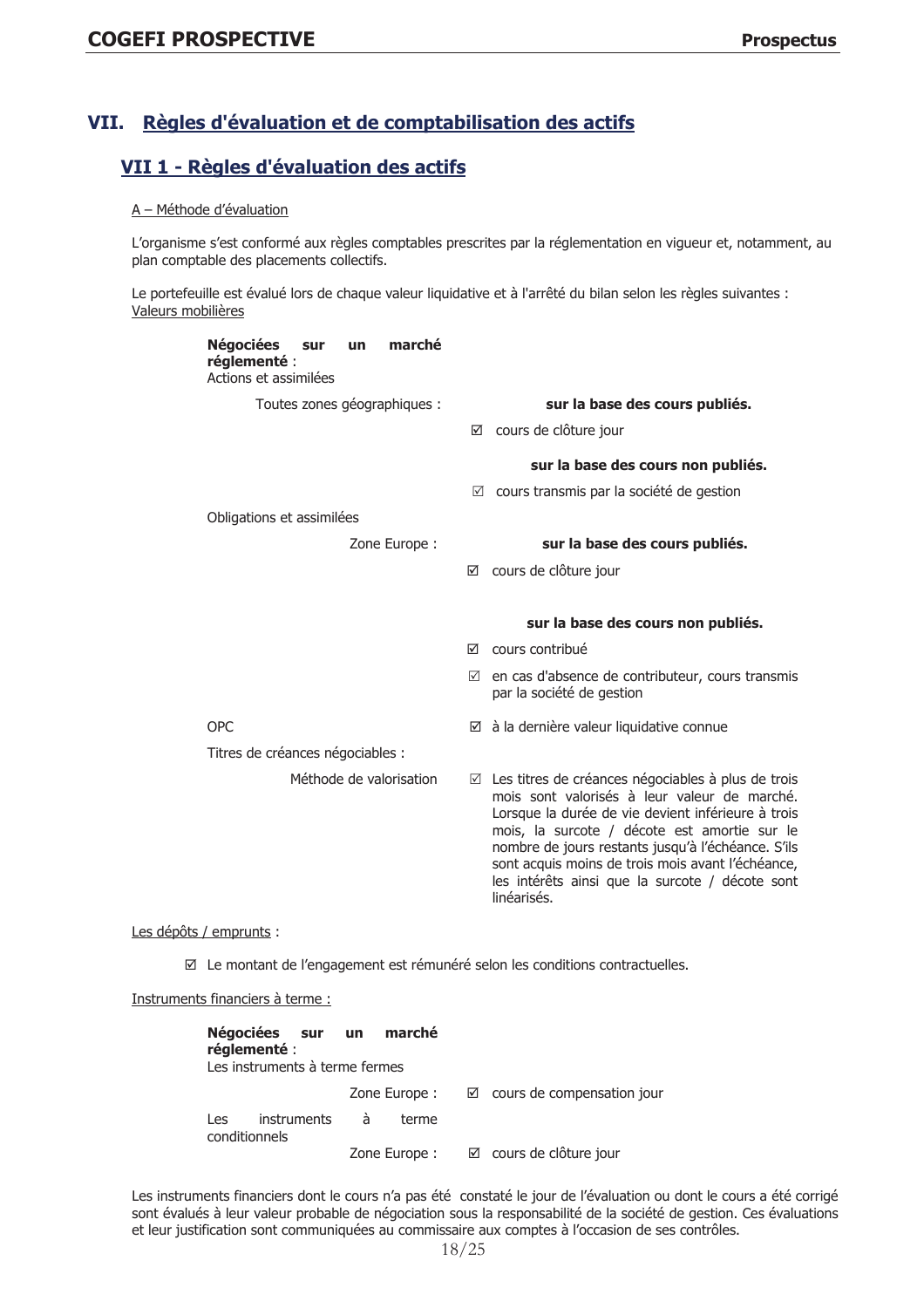#### Règles d'évaluation et de comptabilisation des actifs VII.

# VII 1 - Règles d'évaluation des actifs

#### A - Méthode d'évaluation

L'organisme s'est conformé aux règles comptables prescrites par la réglementation en vigueur et, notamment, au plan comptable des placements collectifs.

Le portefeuille est évalué lors de chaque valeur liquidative et à l'arrêté du bilan selon les règles suivantes : Valeurs mobilières

| marché<br>Négociées sur<br><b>un</b><br>réglementé :<br>Actions et assimilées |                                                                                                                                                                                                                                                                                                                                                                                                   |
|-------------------------------------------------------------------------------|---------------------------------------------------------------------------------------------------------------------------------------------------------------------------------------------------------------------------------------------------------------------------------------------------------------------------------------------------------------------------------------------------|
| Toutes zones géographiques :                                                  | sur la base des cours publiés.                                                                                                                                                                                                                                                                                                                                                                    |
|                                                                               | $\boxtimes$ cours de clôture jour                                                                                                                                                                                                                                                                                                                                                                 |
|                                                                               | sur la base des cours non publiés.                                                                                                                                                                                                                                                                                                                                                                |
|                                                                               | $\boxtimes$ cours transmis par la société de gestion                                                                                                                                                                                                                                                                                                                                              |
| Obligations et assimilées                                                     |                                                                                                                                                                                                                                                                                                                                                                                                   |
| Zone Europe:                                                                  | sur la base des cours publiés.                                                                                                                                                                                                                                                                                                                                                                    |
|                                                                               | ☑ cours de clôture jour                                                                                                                                                                                                                                                                                                                                                                           |
|                                                                               | sur la base des cours non publiés.                                                                                                                                                                                                                                                                                                                                                                |
|                                                                               | $\boxtimes$ cours contribué                                                                                                                                                                                                                                                                                                                                                                       |
|                                                                               | $\boxtimes$ en cas d'absence de contributeur, cours transmis<br>par la société de gestion                                                                                                                                                                                                                                                                                                         |
| <b>OPC</b>                                                                    | $\boxtimes$ à la dernière valeur liquidative connue                                                                                                                                                                                                                                                                                                                                               |
| Titres de créances négociables :                                              |                                                                                                                                                                                                                                                                                                                                                                                                   |
| Méthode de valorisation                                                       | $\boxtimes$ Les titres de créances négociables à plus de trois<br>mois sont valorisés à leur valeur de marché.<br>Lorsque la durée de vie devient inférieure à trois<br>mois, la surcote / décote est amortie sur le<br>nombre de jours restants jusqu'à l'échéance. S'ils<br>sont acquis moins de trois mois avant l'échéance,<br>les intérêts ainsi que la surcote / décote sont<br>linéarisés. |
| $2$ ta / ananau inta i                                                        |                                                                                                                                                                                                                                                                                                                                                                                                   |

# Les dépôts / emprunts :

☑ Le montant de l'engagement est rémunéré selon les conditions contractuelles.

Instruments financiers à terme :

| réglementé :         | Négociées sur un<br>Les instruments à terme fermes |   | marché        |                                   |
|----------------------|----------------------------------------------------|---|---------------|-----------------------------------|
|                      |                                                    |   |               | Zone Europe : validation jour     |
| Les<br>conditionnels | <i>instruments</i>                                 | à | terme         |                                   |
|                      |                                                    |   | Zone Europe : | $\boxtimes$ cours de clôture jour |

Les instruments financiers dont le cours n'a pas été constaté le jour de l'évaluation ou dont le cours a été corrigé sont évalués à leur valeur probable de négociation sous la responsabilité de la société de gestion. Ces évaluations et leur justification sont communiquées au commissaire aux comptes à l'occasion de ses contrôles.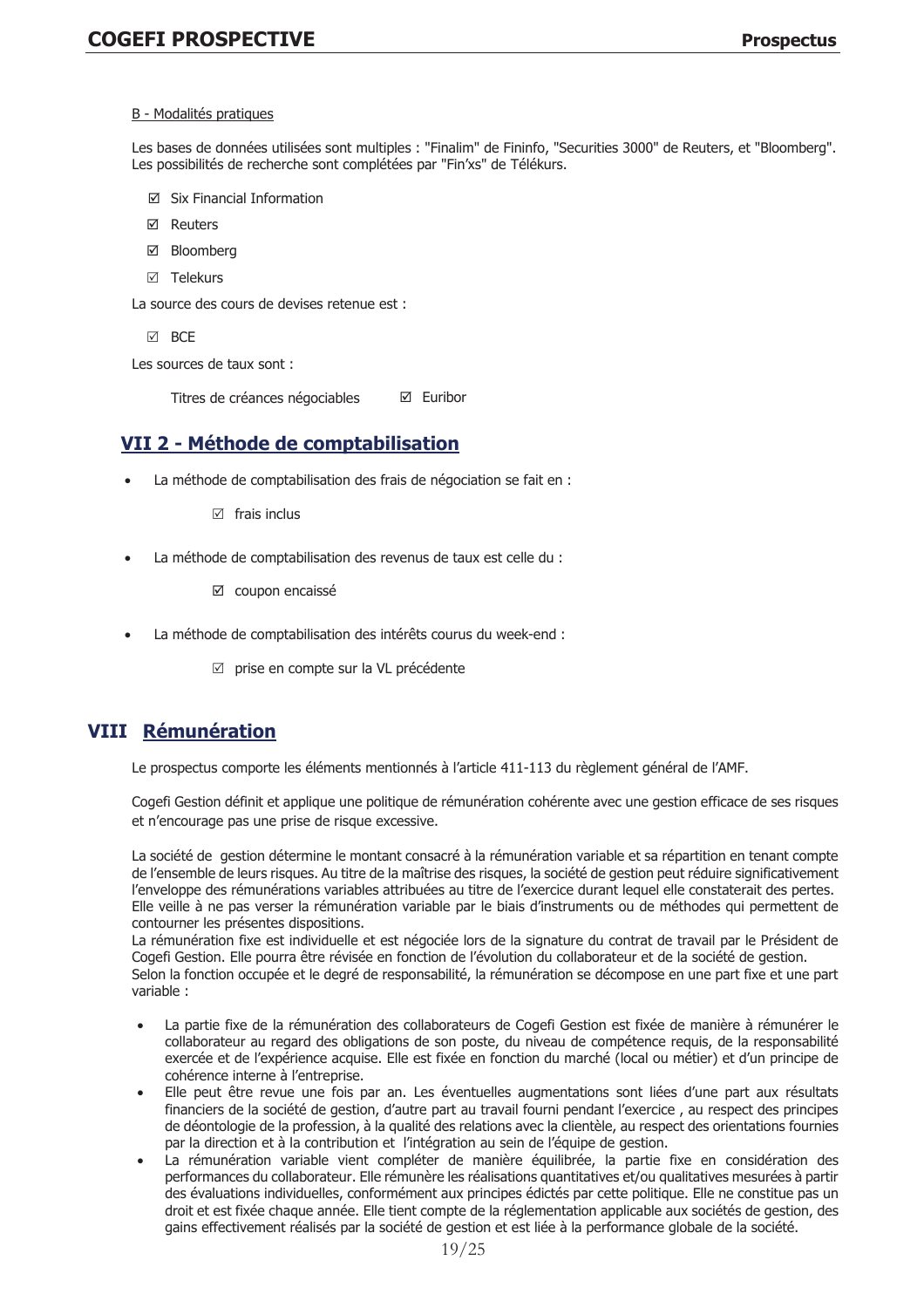#### B - Modalités pratiques

Les bases de données utilisées sont multiples : "Finalim" de Fininfo, "Securities 3000" de Reuters, et "Bloomberg". Les possibilités de recherche sont complétées par "Fin'xs" de Télékurs.

- ⊠ Six Financial Information
- **M** Reuters
- ☑ Bloomberg
- ☑ Telekurs

La source des cours de devises retenue est :

**MARCE** 

Les sources de taux sont :

Titres de créances négociables ☑ Euribor

# VII 2 - Méthode de comptabilisation

- La méthode de comptabilisation des frais de négociation se fait en :
	- $\boxtimes$  frais inclus
- La méthode de comptabilisation des revenus de taux est celle du :
	- ☑ coupon encaissé
- La méthode de comptabilisation des intérêts courus du week-end :
	- ☑ prise en compte sur la VL précédente

# **VIII Rémunération**

Le prospectus comporte les éléments mentionnés à l'article 411-113 du règlement général de l'AMF.

Cogefi Gestion définit et applique une politique de rémunération cohérente avec une gestion efficace de ses risques et n'encourage pas une prise de risque excessive.

La société de gestion détermine le montant consacré à la rémunération variable et sa répartition en tenant compte de l'ensemble de leurs risques. Au titre de la maîtrise des risques, la société de gestion peut réduire significativement l'enveloppe des rémunérations variables attribuées au titre de l'exercice durant lequel elle constaterait des pertes. Elle veille à ne pas verser la rémunération variable par le biais d'instruments ou de méthodes qui permettent de contourner les présentes dispositions.

La rémunération fixe est individuelle et est négociée lors de la signature du contrat de travail par le Président de Cogefi Gestion. Elle pourra être révisée en fonction de l'évolution du collaborateur et de la société de gestion. Selon la fonction occupée et le degré de responsabilité, la rémunération se décompose en une part fixe et une part variable :

- La partie fixe de la rémunération des collaborateurs de Cogefi Gestion est fixée de manière à rémunérer le collaborateur au regard des obligations de son poste, du niveau de compétence requis, de la responsabilité exercée et de l'expérience acquise. Elle est fixée en fonction du marché (local ou métier) et d'un principe de cohérence interne à l'entreprise.
- Elle peut être revue une fois par an. Les éventuelles augmentations sont liées d'une part aux résultats financiers de la société de gestion, d'autre part au travail fourni pendant l'exercice, au respect des principes de déontologie de la profession, à la qualité des relations avec la clientèle, au respect des orientations fournies par la direction et à la contribution et l'intégration au sein de l'équipe de gestion.
- La rémunération variable vient compléter de manière équilibrée, la partie fixe en considération des performances du collaborateur. Elle rémunère les réalisations quantitatives et/ou qualitatives mesurées à partir des évaluations individuelles, conformément aux principes édictés par cette politique. Elle ne constitue pas un droit et est fixée chaque année. Elle tient compte de la réglementation applicable aux sociétés de gestion, des gains effectivement réalisés par la société de gestion et est liée à la performance globale de la société.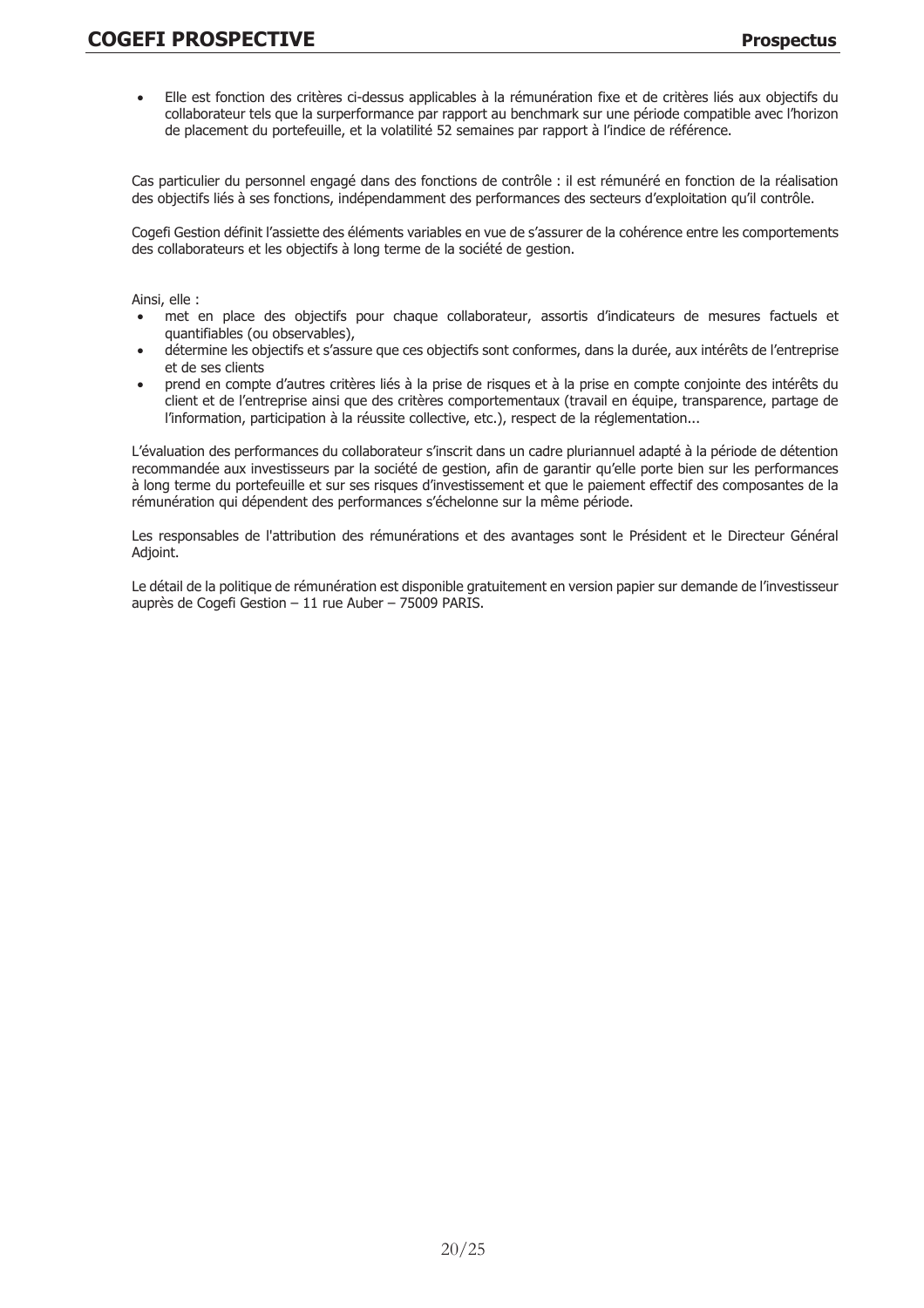Elle est fonction des critères ci-dessus applicables à la rémunération fixe et de critères liés aux objectifs du  $\bullet$ collaborateur tels que la surperformance par rapport au benchmark sur une période compatible avec l'horizon de placement du portefeuille, et la volatilité 52 semaines par rapport à l'indice de référence.

Cas particulier du personnel engagé dans des fonctions de contrôle : il est rémunéré en fonction de la réalisation des objectifs liés à ses fonctions, indépendamment des performances des secteurs d'exploitation qu'il contrôle.

Cogefi Gestion définit l'assiette des éléments variables en vue de s'assurer de la cohérence entre les comportements des collaborateurs et les objectifs à long terme de la société de gestion.

Ainsi, elle :

- met en place des objectifs pour chaque collaborateur, assortis d'indicateurs de mesures factuels et quantifiables (ou observables),
- détermine les objectifs et s'assure que ces objectifs sont conformes, dans la durée, aux intérêts de l'entreprise et de ses clients
- prend en compte d'autres critères liés à la prise de risques et à la prise en compte conjointe des intérêts du client et de l'entreprise ainsi que des critères comportementaux (travail en équipe, transparence, partage de l'information, participation à la réussite collective, etc.), respect de la réglementation...

L'évaluation des performances du collaborateur s'inscrit dans un cadre pluriannuel adapté à la période de détention recommandée aux investisseurs par la société de gestion, afin de garantir qu'elle porte bien sur les performances à long terme du portefeuille et sur ses risques d'investissement et que le paiement effectif des composantes de la rémunération qui dépendent des performances s'échelonne sur la même période.

Les responsables de l'attribution des rémunérations et des avantages sont le Président et le Directeur Général Adjoint.

Le détail de la politique de rémunération est disponible gratuitement en version papier sur demande de l'investisseur auprès de Cogefi Gestion - 11 rue Auber - 75009 PARIS.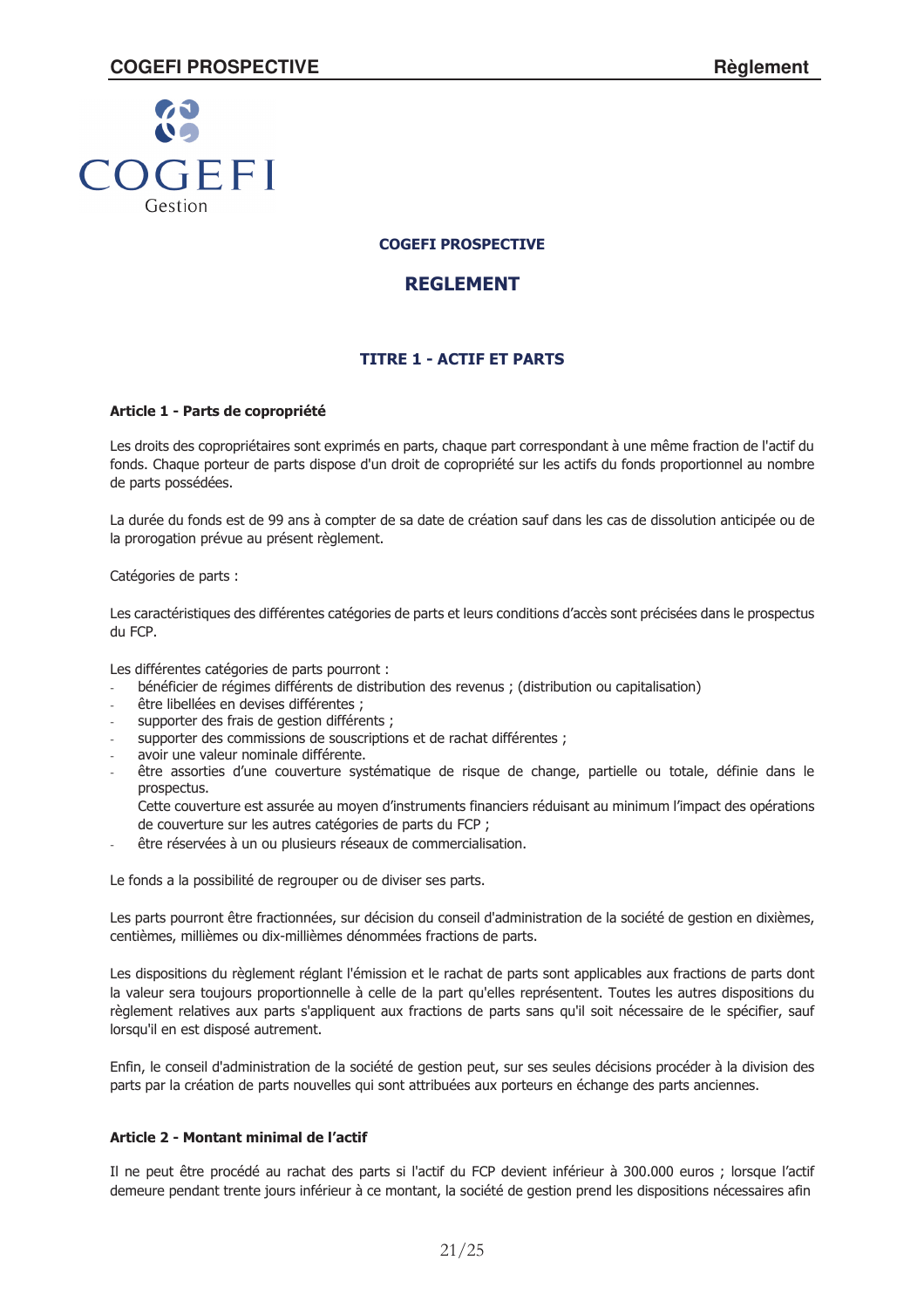

# **REGLEMENT**

# **TITRE 1 - ACTIF ET PARTS**

# Article 1 - Parts de copropriété

Les droits des copropriétaires sont exprimés en parts, chaque part correspondant à une même fraction de l'actif du fonds. Chaque porteur de parts dispose d'un droit de copropriété sur les actifs du fonds proportionnel au nombre de parts possédées.

La durée du fonds est de 99 ans à compter de sa date de création sauf dans les cas de dissolution anticipée ou de la prorogation prévue au présent règlement.

Catégories de parts :

Les caractéristiques des différentes catégories de parts et leurs conditions d'accès sont précisées dans le prospectus du FCP.

Les différentes catégories de parts pourront :

- bénéficier de régimes différents de distribution des revenus ; (distribution ou capitalisation)
- être libellées en devises différentes ;
- supporter des frais de gestion différents;
- supporter des commissions de souscriptions et de rachat différentes ;
- avoir une valeur nominale différente.
- être assorties d'une couverture systématique de risque de change, partielle ou totale, définie dans le prospectus.

Cette couverture est assurée au moyen d'instruments financiers réduisant au minimum l'impact des opérations de couverture sur les autres catégories de parts du FCP ;

être réservées à un ou plusieurs réseaux de commercialisation.

Le fonds a la possibilité de regrouper ou de diviser ses parts.

Les parts pourront être fractionnées, sur décision du conseil d'administration de la société de gestion en dixièmes, centièmes, millièmes ou dix-millièmes dénommées fractions de parts.

Les dispositions du règlement réglant l'émission et le rachat de parts sont applicables aux fractions de parts dont la valeur sera toujours proportionnelle à celle de la part qu'elles représentent. Toutes les autres dispositions du règlement relatives aux parts s'appliquent aux fractions de parts sans qu'il soit nécessaire de le spécifier, sauf lorsau'il en est disposé autrement.

Enfin, le conseil d'administration de la société de gestion peut, sur ses seules décisions procéder à la division des parts par la création de parts nouvelles qui sont attribuées aux porteurs en échange des parts anciennes.

# Article 2 - Montant minimal de l'actif

Il ne peut être procédé au rachat des parts si l'actif du FCP devient inférieur à 300.000 euros ; lorsque l'actif demeure pendant trente jours inférieur à ce montant, la société de gestion prend les dispositions nécessaires afin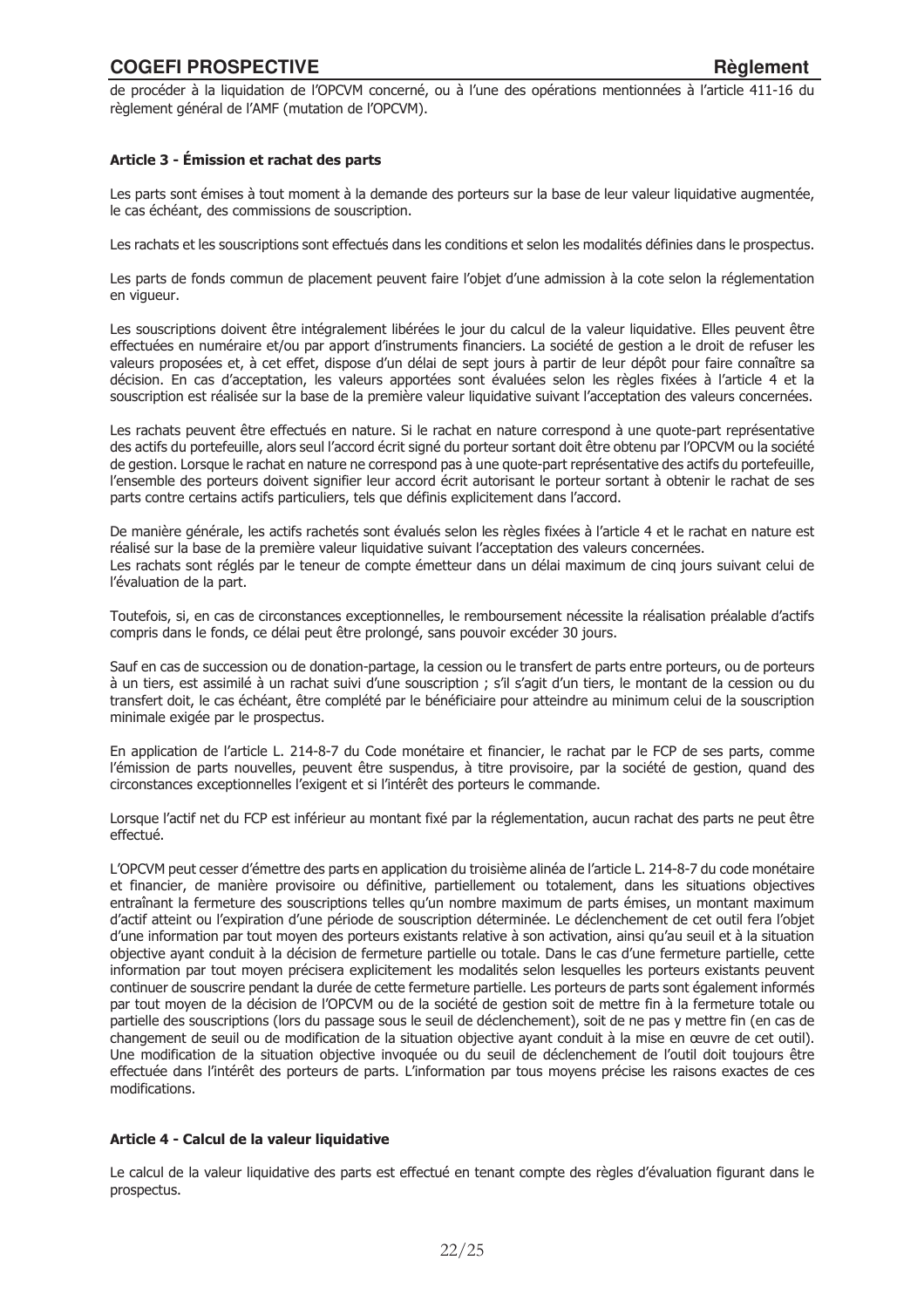de procéder à la liquidation de l'OPCVM concerné, ou à l'une des opérations mentionnées à l'article 411-16 du règlement général de l'AMF (mutation de l'OPCVM).

# Article 3 - Émission et rachat des parts

Les parts sont émises à tout moment à la demande des porteurs sur la base de leur valeur liquidative augmentée, le cas échéant, des commissions de souscription.

Les rachats et les souscriptions sont effectués dans les conditions et selon les modalités définies dans le prospectus.

Les parts de fonds commun de placement peuvent faire l'objet d'une admission à la cote selon la réglementation en vigueur.

Les souscriptions doivent être intégralement libérées le jour du calcul de la valeur liquidative. Elles peuvent être effectuées en numéraire et/ou par apport d'instruments financiers. La société de gestion a le droit de refuser les valeurs proposées et, à cet effet, dispose d'un délai de sept jours à partir de leur dépôt pour faire connaître sa décision. En cas d'acceptation, les valeurs apportées sont évaluées selon les règles fixées à l'article 4 et la souscription est réalisée sur la base de la première valeur liquidative suivant l'acceptation des valeurs concernées.

Les rachats peuvent être effectués en nature. Si le rachat en nature correspond à une quote-part représentative des actifs du portefeuille, alors seul l'accord écrit signé du porteur sortant doit être obtenu par l'OPCVM ou la société de gestion. Lorsque le rachat en nature ne correspond pas à une quote-part représentative des actifs du portefeuille, l'ensemble des porteurs doivent signifier leur accord écrit autorisant le porteur sortant à obtenir le rachat de ses parts contre certains actifs particuliers, tels que définis explicitement dans l'accord.

De manière générale, les actifs rachetés sont évalués selon les règles fixées à l'article 4 et le rachat en nature est réalisé sur la base de la première valeur liquidative suivant l'acceptation des valeurs concernées. Les rachats sont réglés par le teneur de compte émetteur dans un délai maximum de cing jours suivant celui de l'évaluation de la part.

Toutefois, si, en cas de circonstances exceptionnelles, le remboursement nécessite la réalisation préalable d'actifs compris dans le fonds, ce délai peut être prolongé, sans pouvoir excéder 30 jours.

Sauf en cas de succession ou de donation-partage, la cession ou le transfert de parts entre porteurs, ou de porteurs à un tiers, est assimilé à un rachat suivi d'une souscription ; s'il s'agit d'un tiers, le montant de la cession ou du transfert doit, le cas échéant, être complété par le bénéficiaire pour atteindre au minimum celui de la souscription minimale exigée par le prospectus.

En application de l'article L, 214-8-7 du Code monétaire et financier, le rachat par le FCP de ses parts, comme l'émission de parts nouvelles, peuvent être suspendus, à titre provisoire, par la société de gestion, quand des circonstances exceptionnelles l'exigent et si l'intérêt des porteurs le commande.

Lorsque l'actif net du FCP est inférieur au montant fixé par la réglementation, aucun rachat des parts ne peut être effectué.

L'OPCVM peut cesser d'émettre des parts en application du troisième alinéa de l'article L. 214-8-7 du code monétaire et financier, de manière provisoire ou définitive, partiellement ou totalement, dans les situations objectives entraînant la fermeture des souscriptions telles qu'un nombre maximum de parts émises, un montant maximum d'actif atteint ou l'expiration d'une période de souscription déterminée. Le déclenchement de cet outil fera l'objet d'une information par tout moyen des porteurs existants relative à son activation, ainsi qu'au seuil et à la situation objective ayant conduit à la décision de fermeture partielle ou totale. Dans le cas d'une fermeture partielle, cette information par tout moyen précisera explicitement les modalités selon lesquelles les porteurs existants peuvent continuer de souscrire pendant la durée de cette fermeture partielle. Les porteurs de parts sont également informés par tout moyen de la décision de l'OPCVM ou de la société de gestion soit de mettre fin à la fermeture totale ou partielle des souscriptions (lors du passage sous le seuil de déclenchement), soit de ne pas y mettre fin (en cas de changement de seuil ou de modification de la situation objective ayant conduit à la mise en œuvre de cet outil). Une modification de la situation objective invoguée ou du seuil de déclenchement de l'outil doit toujours être effectuée dans l'intérêt des porteurs de parts. L'information par tous moyens précise les raisons exactes de ces modifications.

# Article 4 - Calcul de la valeur liquidative

Le calcul de la valeur liquidative des parts est effectué en tenant compte des règles d'évaluation figurant dans le prospectus.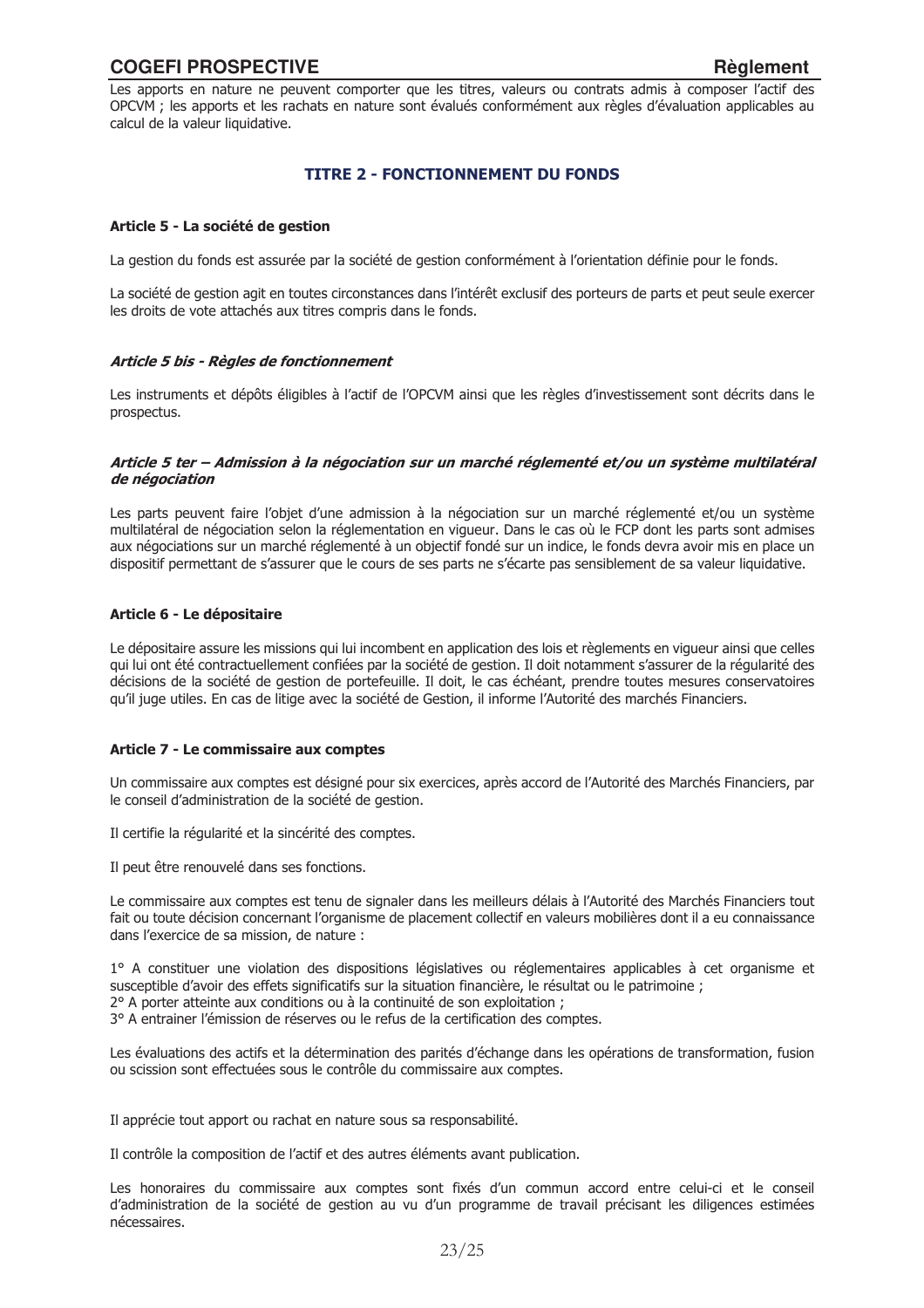Les apports en nature ne peuvent comporter que les titres, valeurs ou contrats admis à composer l'actif des OPCVM ; les apports et les rachats en nature sont évalués conformément aux règles d'évaluation applicables au calcul de la valeur liquidative.

# **TITRE 2 - FONCTIONNEMENT DU FONDS**

## Article 5 - La société de gestion

La gestion du fonds est assurée par la société de gestion conformément à l'orientation définie pour le fonds.

La société de gestion agit en toutes circonstances dans l'intérêt exclusif des porteurs de parts et peut seule exercer les droits de vote attachés aux titres compris dans le fonds.

#### Article 5 bis - Règles de fonctionnement

Les instruments et dépôts éligibles à l'actif de l'OPCVM ainsi que les règles d'investissement sont décrits dans le prospectus.

#### Article 5 ter – Admission à la négociation sur un marché réglementé et/ou un système multilatéral de négociation

Les parts peuvent faire l'objet d'une admission à la négociation sur un marché réglementé et/ou un système multilatéral de négociation selon la réglementation en vigueur. Dans le cas où le FCP dont les parts sont admises aux négociations sur un marché réglementé à un objectif fondé sur un indice, le fonds devra avoir mis en place un dispositif permettant de s'assurer que le cours de ses parts ne s'écarte pas sensiblement de sa valeur liquidative.

# Article 6 - Le dépositaire

Le dépositaire assure les missions qui lui incombent en application des lois et règlements en vigueur ainsi que celles qui lui ont été contractuellement confiées par la société de gestion. Il doit notamment s'assurer de la régularité des décisions de la société de gestion de portefeuille. Il doit, le cas échéant, prendre toutes mesures conservatoires qu'il juge utiles. En cas de litige avec la société de Gestion, il informe l'Autorité des marchés Financiers.

# Article 7 - Le commissaire aux comptes

Un commissaire aux comptes est désigné pour six exercices, après accord de l'Autorité des Marchés Financiers, par le conseil d'administration de la société de gestion.

Il certifie la régularité et la sincérité des comptes.

Il peut être renouvelé dans ses fonctions.

Le commissaire aux comptes est tenu de signaler dans les meilleurs délais à l'Autorité des Marchés Financiers tout fait ou toute décision concernant l'organisme de placement collectif en valeurs mobilières dont il a eu connaissance dans l'exercice de sa mission, de nature :

1° A constituer une violation des dispositions législatives ou réglementaires applicables à cet organisme et susceptible d'avoir des effets significatifs sur la situation financière, le résultat ou le patrimoine ; 2° A porter atteinte aux conditions ou à la continuité de son exploitation ;

3º A entrainer l'émission de réserves ou le refus de la certification des comptes.

Les évaluations des actifs et la détermination des parités d'échange dans les opérations de transformation, fusion ou scission sont effectuées sous le contrôle du commissaire aux comptes.

Il apprécie tout apport ou rachat en nature sous sa responsabilité.

Il contrôle la composition de l'actif et des autres éléments avant publication.

Les honoraires du commissaire aux comptes sont fixés d'un commun accord entre celui-ci et le conseil d'administration de la société de gestion au vu d'un programme de travail précisant les diligences estimées nécessaires.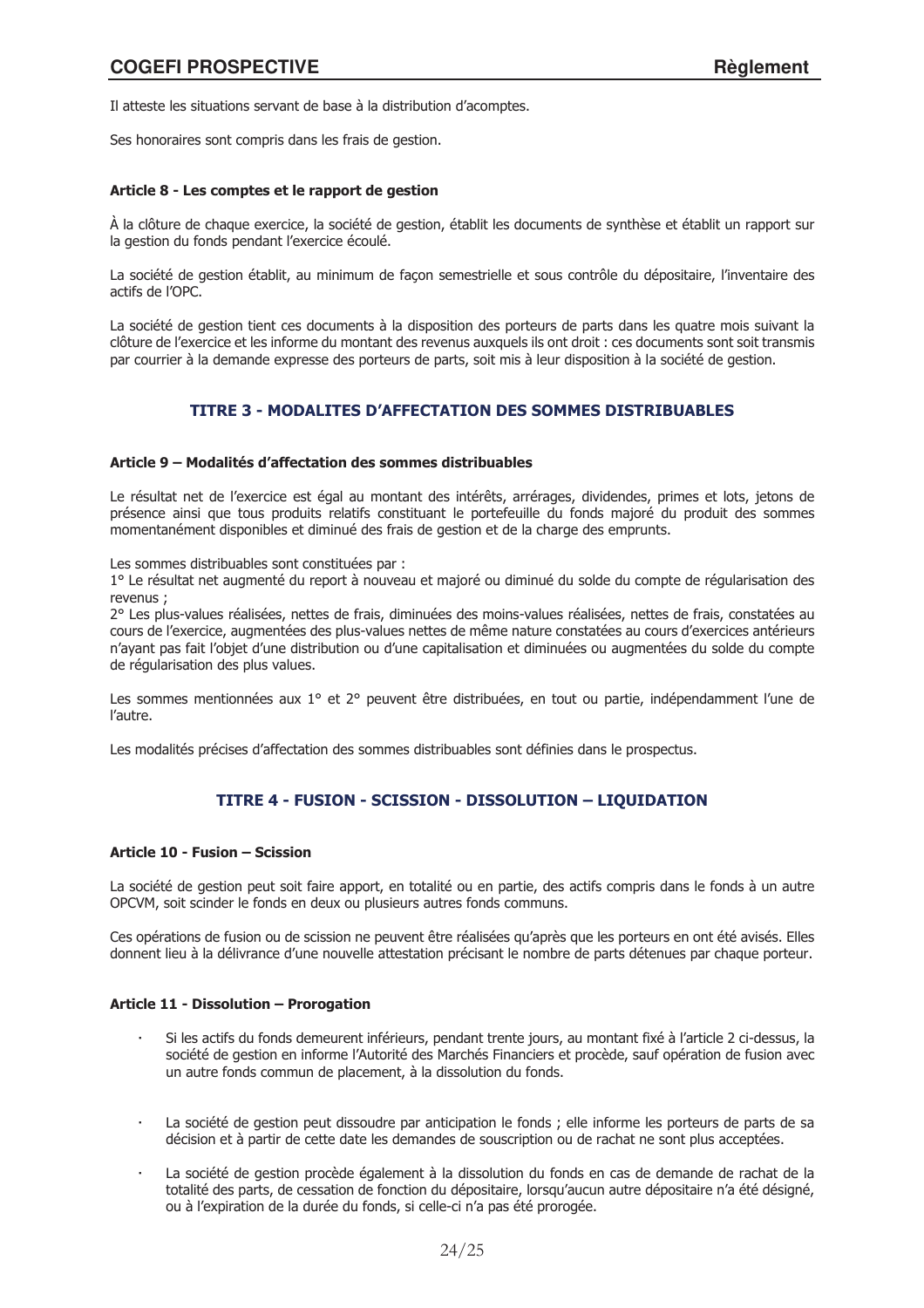Il atteste les situations servant de base à la distribution d'acomptes.

Ses honoraires sont compris dans les frais de gestion.

## Article 8 - Les comptes et le rapport de gestion

À la clôture de chaque exercice, la société de gestion, établit les documents de synthèse et établit un rapport sur la gestion du fonds pendant l'exercice écoulé.

La société de gestion établit, au minimum de façon semestrielle et sous contrôle du dépositaire, l'inventaire des actifs de l'OPC.

La société de gestion tient ces documents à la disposition des porteurs de parts dans les quatre mois suivant la clôture de l'exercice et les informe du montant des revenus auxquels ils ont droit : ces documents sont soit transmis par courrier à la demande expresse des porteurs de parts, soit mis à leur disposition à la société de gestion.

# **TITRE 3 - MODALITES D'AFFECTATION DES SOMMES DISTRIBUABLES**

#### Article 9 - Modalités d'affectation des sommes distribuables

Le résultat net de l'exercice est égal au montant des intérêts, arrérages, dividendes, primes et lots, jetons de présence ainsi que tous produits relatifs constituant le portefeuille du fonds majoré du produit des sommes momentanément disponibles et diminué des frais de gestion et de la charge des emprunts.

Les sommes distribuables sont constituées par :

1º Le résultat net augmenté du report à nouveau et majoré ou diminué du solde du compte de régularisation des revenus ·

2° Les plus-values réalisées, nettes de frais, diminuées des moins-values réalisées, nettes de frais, constatées au cours de l'exercice, augmentées des plus-values nettes de même nature constatées au cours d'exercices antérieurs n'ayant pas fait l'objet d'une distribution ou d'une capitalisation et diminuées ou augmentées du solde du compte de réquiarisation des plus values.

Les sommes mentionnées aux 1° et 2° peuvent être distribuées, en tout ou partie, indépendamment l'une de l'autre.

Les modalités précises d'affectation des sommes distribuables sont définies dans le prospectus.

# TITRE 4 - FUSION - SCISSION - DISSOLUTION - LIQUIDATION

# Article 10 - Fusion - Scission

La société de gestion peut soit faire apport, en totalité ou en partie, des actifs compris dans le fonds à un autre OPCVM, soit scinder le fonds en deux ou plusieurs autres fonds communs.

Ces opérations de fusion ou de scission ne peuvent être réalisées qu'après que les porteurs en ont été avisés. Elles donnent lieu à la délivrance d'une nouvelle attestation précisant le nombre de parts détenues par chaque porteur.

# Article 11 - Dissolution - Prorogation

- Si les actifs du fonds demeurent inférieurs, pendant trente jours, au montant fixé à l'article 2 ci-dessus, la société de gestion en informe l'Autorité des Marchés Financiers et procède, sauf opération de fusion avec un autre fonds commun de placement, à la dissolution du fonds.
- La société de gestion peut dissoudre par anticipation le fonds ; elle informe les porteurs de parts de sa décision et à partir de cette date les demandes de souscription ou de rachat ne sont plus acceptées.
- La société de gestion procède également à la dissolution du fonds en cas de demande de rachat de la totalité des parts, de cessation de fonction du dépositaire, lorsqu'aucun autre dépositaire n'a été désigné, ou à l'expiration de la durée du fonds, si celle-ci n'a pas été prorogée.